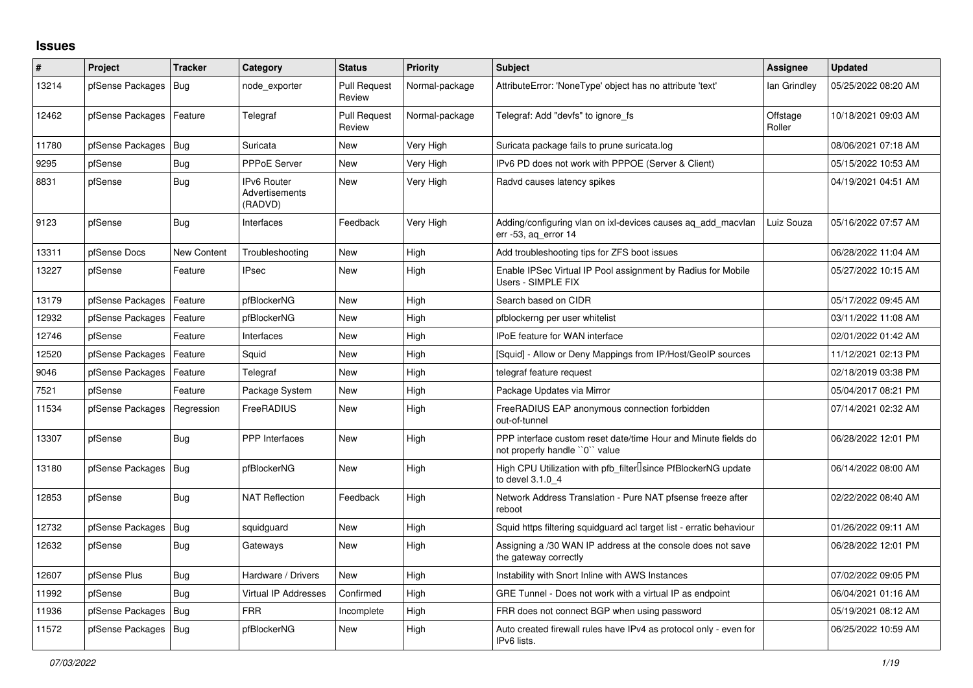## **Issues**

| ∦     | <b>Project</b>         | <b>Tracker</b>     | Category                                        | <b>Status</b>                 | <b>Priority</b> | <b>Subject</b>                                                                                  | <b>Assignee</b>    | <b>Updated</b>      |
|-------|------------------------|--------------------|-------------------------------------------------|-------------------------------|-----------------|-------------------------------------------------------------------------------------------------|--------------------|---------------------|
| 13214 | pfSense Packages       | Bug                | node exporter                                   | <b>Pull Request</b><br>Review | Normal-package  | AttributeError: 'NoneType' object has no attribute 'text'                                       | lan Grindley       | 05/25/2022 08:20 AM |
| 12462 | pfSense Packages       | Feature            | Telegraf                                        | <b>Pull Request</b><br>Review | Normal-package  | Telegraf: Add "devfs" to ignore fs                                                              | Offstage<br>Roller | 10/18/2021 09:03 AM |
| 11780 | pfSense Packages   Bug |                    | Suricata                                        | New                           | Very High       | Suricata package fails to prune suricata.log                                                    |                    | 08/06/2021 07:18 AM |
| 9295  | pfSense                | <b>Bug</b>         | <b>PPPoE Server</b>                             | New                           | Very High       | IPv6 PD does not work with PPPOE (Server & Client)                                              |                    | 05/15/2022 10:53 AM |
| 8831  | pfSense                | Bug                | <b>IPv6 Router</b><br>Advertisements<br>(RADVD) | New                           | Very High       | Radvd causes latency spikes                                                                     |                    | 04/19/2021 04:51 AM |
| 9123  | pfSense                | <b>Bug</b>         | Interfaces                                      | Feedback                      | Very High       | Adding/configuring vlan on ixl-devices causes ag add macvlan<br>err $-53$ , ag error $14$       | Luiz Souza         | 05/16/2022 07:57 AM |
| 13311 | pfSense Docs           | <b>New Content</b> | Troubleshooting                                 | New                           | High            | Add troubleshooting tips for ZFS boot issues                                                    |                    | 06/28/2022 11:04 AM |
| 13227 | pfSense                | Feature            | <b>IPsec</b>                                    | New                           | High            | Enable IPSec Virtual IP Pool assignment by Radius for Mobile<br>Users - SIMPLE FIX              |                    | 05/27/2022 10:15 AM |
| 13179 | pfSense Packages       | Feature            | pfBlockerNG                                     | <b>New</b>                    | High            | Search based on CIDR                                                                            |                    | 05/17/2022 09:45 AM |
| 12932 | pfSense Packages       | Feature            | pfBlockerNG                                     | New                           | High            | pfblockerng per user whitelist                                                                  |                    | 03/11/2022 11:08 AM |
| 12746 | pfSense                | Feature            | Interfaces                                      | New                           | High            | <b>IPoE</b> feature for WAN interface                                                           |                    | 02/01/2022 01:42 AM |
| 12520 | pfSense Packages       | Feature            | Squid                                           | <b>New</b>                    | High            | [Squid] - Allow or Deny Mappings from IP/Host/GeoIP sources                                     |                    | 11/12/2021 02:13 PM |
| 9046  | pfSense Packages       | Feature            | Telegraf                                        | <b>New</b>                    | High            | telegraf feature request                                                                        |                    | 02/18/2019 03:38 PM |
| 7521  | pfSense                | Feature            | Package System                                  | New                           | High            | Package Updates via Mirror                                                                      |                    | 05/04/2017 08:21 PM |
| 11534 | pfSense Packages       | Regression         | FreeRADIUS                                      | New                           | High            | FreeRADIUS EAP anonymous connection forbidden<br>out-of-tunnel                                  |                    | 07/14/2021 02:32 AM |
| 13307 | pfSense                | <b>Bug</b>         | <b>PPP</b> Interfaces                           | New                           | High            | PPP interface custom reset date/time Hour and Minute fields do<br>not properly handle "0" value |                    | 06/28/2022 12:01 PM |
| 13180 | pfSense Packages   Bug |                    | pfBlockerNG                                     | New                           | High            | High CPU Utilization with pfb_filter <sup>[]</sup> since PfBlockerNG update<br>to devel 3.1.0 4 |                    | 06/14/2022 08:00 AM |
| 12853 | pfSense                | <b>Bug</b>         | <b>NAT Reflection</b>                           | Feedback                      | High            | Network Address Translation - Pure NAT pfsense freeze after<br>reboot                           |                    | 02/22/2022 08:40 AM |
| 12732 | pfSense Packages       | Bug                | squidguard                                      | <b>New</b>                    | High            | Squid https filtering squidguard acl target list - erratic behaviour                            |                    | 01/26/2022 09:11 AM |
| 12632 | pfSense                | Bug                | Gateways                                        | <b>New</b>                    | High            | Assigning a /30 WAN IP address at the console does not save<br>the gateway correctly            |                    | 06/28/2022 12:01 PM |
| 12607 | pfSense Plus           | <b>Bug</b>         | Hardware / Drivers                              | New                           | High            | Instability with Snort Inline with AWS Instances                                                |                    | 07/02/2022 09:05 PM |
| 11992 | pfSense                | <b>Bug</b>         | <b>Virtual IP Addresses</b>                     | Confirmed                     | High            | GRE Tunnel - Does not work with a virtual IP as endpoint                                        |                    | 06/04/2021 01:16 AM |
| 11936 | pfSense Packages       | Bug                | <b>FRR</b>                                      | Incomplete                    | High            | FRR does not connect BGP when using password                                                    |                    | 05/19/2021 08:12 AM |
| 11572 | pfSense Packages       | <b>Bug</b>         | pfBlockerNG                                     | New                           | High            | Auto created firewall rules have IPv4 as protocol only - even for<br>IPv6 lists.                |                    | 06/25/2022 10:59 AM |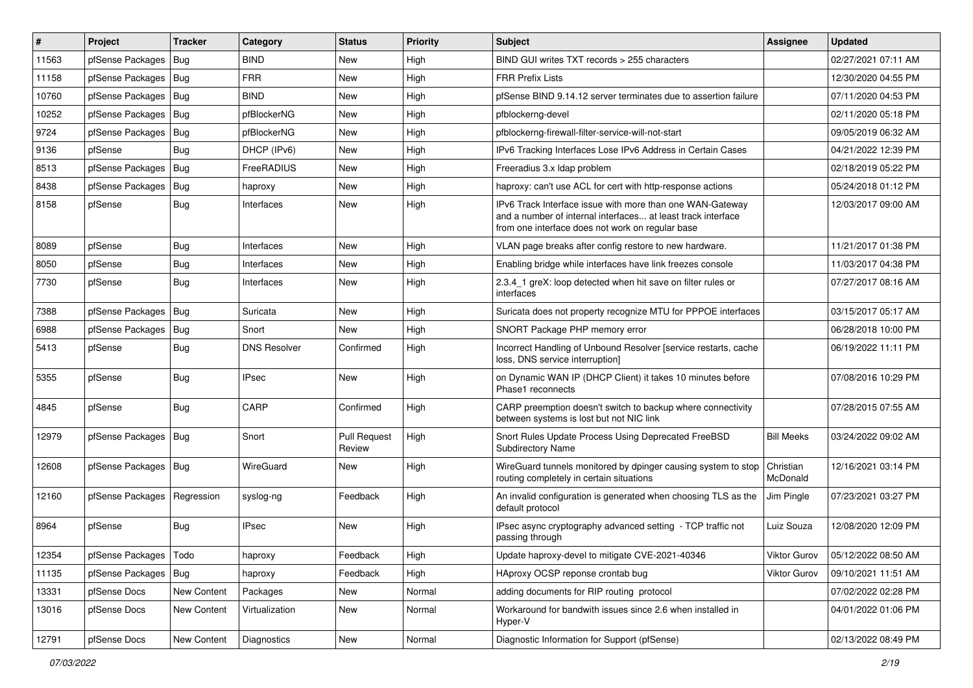| $\vert$ # | Project                 | <b>Tracker</b> | Category            | <b>Status</b>          | <b>Priority</b> | Subject                                                                                                                                                                       | <b>Assignee</b>       | <b>Updated</b>      |
|-----------|-------------------------|----------------|---------------------|------------------------|-----------------|-------------------------------------------------------------------------------------------------------------------------------------------------------------------------------|-----------------------|---------------------|
| 11563     | pfSense Packages        | <b>Bug</b>     | <b>BIND</b>         | New                    | High            | BIND GUI writes TXT records > 255 characters                                                                                                                                  |                       | 02/27/2021 07:11 AM |
| 11158     | pfSense Packages        | Bug            | <b>FRR</b>          | New                    | High            | <b>FRR Prefix Lists</b>                                                                                                                                                       |                       | 12/30/2020 04:55 PM |
| 10760     | pfSense Packages        | Bug            | <b>BIND</b>         | New                    | High            | pfSense BIND 9.14.12 server terminates due to assertion failure                                                                                                               |                       | 07/11/2020 04:53 PM |
| 10252     | pfSense Packages   Bug  |                | pfBlockerNG         | <b>New</b>             | High            | pfblockerng-devel                                                                                                                                                             |                       | 02/11/2020 05:18 PM |
| 9724      | pfSense Packages        | Bug            | pfBlockerNG         | New                    | High            | pfblockerng-firewall-filter-service-will-not-start                                                                                                                            |                       | 09/05/2019 06:32 AM |
| 9136      | pfSense                 | Bug            | DHCP (IPv6)         | New                    | High            | IPv6 Tracking Interfaces Lose IPv6 Address in Certain Cases                                                                                                                   |                       | 04/21/2022 12:39 PM |
| 8513      | pfSense Packages   Bug  |                | FreeRADIUS          | New                    | High            | Freeradius 3.x Idap problem                                                                                                                                                   |                       | 02/18/2019 05:22 PM |
| 8438      | pfSense Packages        | Bug            | haproxy             | New                    | High            | haproxy: can't use ACL for cert with http-response actions                                                                                                                    |                       | 05/24/2018 01:12 PM |
| 8158      | pfSense                 | <b>Bug</b>     | Interfaces          | New                    | High            | IPv6 Track Interface issue with more than one WAN-Gateway<br>and a number of internal interfaces at least track interface<br>from one interface does not work on regular base |                       | 12/03/2017 09:00 AM |
| 8089      | pfSense                 | Bug            | Interfaces          | <b>New</b>             | High            | VLAN page breaks after config restore to new hardware.                                                                                                                        |                       | 11/21/2017 01:38 PM |
| 8050      | pfSense                 | <b>Bug</b>     | Interfaces          | <b>New</b>             | High            | Enabling bridge while interfaces have link freezes console                                                                                                                    |                       | 11/03/2017 04:38 PM |
| 7730      | pfSense                 | Bug            | Interfaces          | <b>New</b>             | High            | 2.3.4 1 greX: loop detected when hit save on filter rules or<br>interfaces                                                                                                    |                       | 07/27/2017 08:16 AM |
| 7388      | pfSense Packages        | Bug            | Suricata            | <b>New</b>             | High            | Suricata does not property recognize MTU for PPPOE interfaces                                                                                                                 |                       | 03/15/2017 05:17 AM |
| 6988      | pfSense Packages        | Bug            | Snort               | New                    | High            | SNORT Package PHP memory error                                                                                                                                                |                       | 06/28/2018 10:00 PM |
| 5413      | pfSense                 | <b>Bug</b>     | <b>DNS Resolver</b> | Confirmed              | High            | Incorrect Handling of Unbound Resolver [service restarts, cache<br>loss, DNS service interruption]                                                                            |                       | 06/19/2022 11:11 PM |
| 5355      | pfSense                 | <b>Bug</b>     | <b>IPsec</b>        | New                    | High            | on Dynamic WAN IP (DHCP Client) it takes 10 minutes before<br>Phase1 reconnects                                                                                               |                       | 07/08/2016 10:29 PM |
| 4845      | pfSense                 | Bug            | CARP                | Confirmed              | High            | CARP preemption doesn't switch to backup where connectivity<br>between systems is lost but not NIC link                                                                       |                       | 07/28/2015 07:55 AM |
| 12979     | pfSense Packages        | Bug            | Snort               | Pull Request<br>Review | High            | Snort Rules Update Process Using Deprecated FreeBSD<br>Subdirectory Name                                                                                                      | <b>Bill Meeks</b>     | 03/24/2022 09:02 AM |
| 12608     | pfSense Packages   Bug  |                | WireGuard           | New                    | High            | WireGuard tunnels monitored by dpinger causing system to stop<br>routing completely in certain situations                                                                     | Christian<br>McDonald | 12/16/2021 03:14 PM |
| 12160     | pfSense Packages        | Regression     | syslog-ng           | Feedback               | High            | An invalid configuration is generated when choosing TLS as the<br>default protocol                                                                                            | Jim Pingle            | 07/23/2021 03:27 PM |
| 8964      | pfSense                 | Bug            | <b>IPsec</b>        | New                    | High            | IPsec async cryptography advanced setting - TCP traffic not<br>passing through                                                                                                | Luiz Souza            | 12/08/2020 12:09 PM |
| 12354     | pfSense Packages   Todo |                | haproxy             | Feedback               | High            | Update haproxy-devel to mitigate CVE-2021-40346                                                                                                                               | Viktor Gurov          | 05/12/2022 08:50 AM |
| 11135     | pfSense Packages        | Bug            | haproxy             | Feedback               | High            | HAproxy OCSP reponse crontab bug                                                                                                                                              | Viktor Gurov          | 09/10/2021 11:51 AM |
| 13331     | pfSense Docs            | New Content    | Packages            | New                    | Normal          | adding documents for RIP routing protocol                                                                                                                                     |                       | 07/02/2022 02:28 PM |
| 13016     | pfSense Docs            | New Content    | Virtualization      | New                    | Normal          | Workaround for bandwith issues since 2.6 when installed in<br>Hyper-V                                                                                                         |                       | 04/01/2022 01:06 PM |
| 12791     | pfSense Docs            | New Content    | Diagnostics         | New                    | Normal          | Diagnostic Information for Support (pfSense)                                                                                                                                  |                       | 02/13/2022 08:49 PM |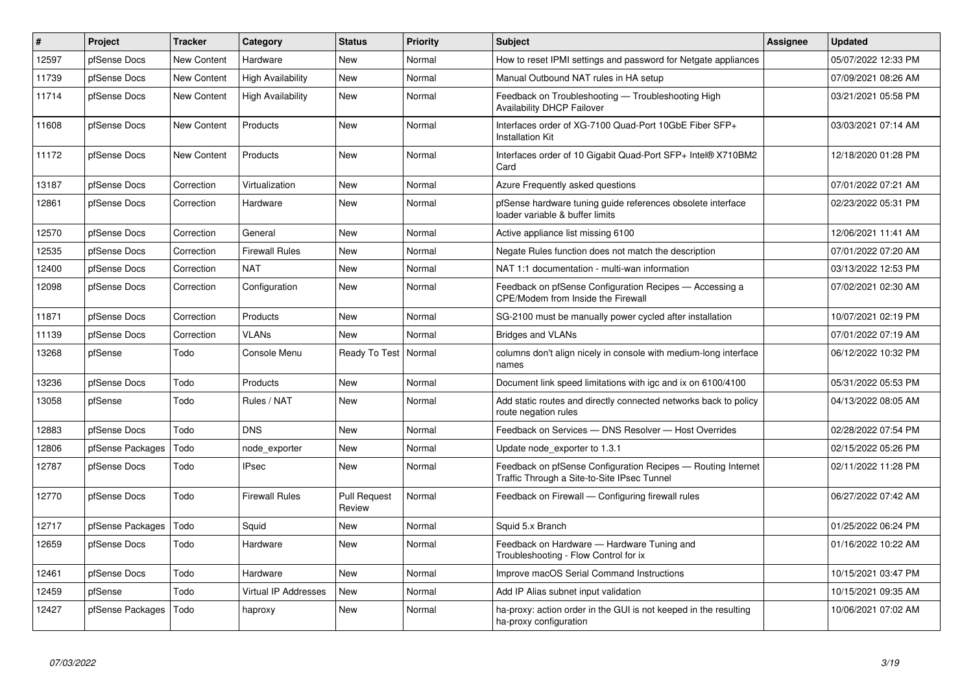| $\vert$ # | Project          | <b>Tracker</b>     | Category                    | <b>Status</b>                 | Priority | <b>Subject</b>                                                                                              | Assignee | <b>Updated</b>      |
|-----------|------------------|--------------------|-----------------------------|-------------------------------|----------|-------------------------------------------------------------------------------------------------------------|----------|---------------------|
| 12597     | pfSense Docs     | <b>New Content</b> | Hardware                    | <b>New</b>                    | Normal   | How to reset IPMI settings and password for Netgate appliances                                              |          | 05/07/2022 12:33 PM |
| 11739     | pfSense Docs     | <b>New Content</b> | <b>High Availability</b>    | <b>New</b>                    | Normal   | Manual Outbound NAT rules in HA setup                                                                       |          | 07/09/2021 08:26 AM |
| 11714     | pfSense Docs     | New Content        | <b>High Availability</b>    | <b>New</b>                    | Normal   | Feedback on Troubleshooting - Troubleshooting High<br><b>Availability DHCP Failover</b>                     |          | 03/21/2021 05:58 PM |
| 11608     | pfSense Docs     | <b>New Content</b> | Products                    | New                           | Normal   | Interfaces order of XG-7100 Quad-Port 10GbE Fiber SFP+<br><b>Installation Kit</b>                           |          | 03/03/2021 07:14 AM |
| 11172     | pfSense Docs     | <b>New Content</b> | Products                    | <b>New</b>                    | Normal   | Interfaces order of 10 Gigabit Quad-Port SFP+ Intel® X710BM2<br>Card                                        |          | 12/18/2020 01:28 PM |
| 13187     | pfSense Docs     | Correction         | Virtualization              | New                           | Normal   | Azure Frequently asked questions                                                                            |          | 07/01/2022 07:21 AM |
| 12861     | pfSense Docs     | Correction         | Hardware                    | <b>New</b>                    | Normal   | pfSense hardware tuning guide references obsolete interface<br>loader variable & buffer limits              |          | 02/23/2022 05:31 PM |
| 12570     | pfSense Docs     | Correction         | General                     | New                           | Normal   | Active appliance list missing 6100                                                                          |          | 12/06/2021 11:41 AM |
| 12535     | pfSense Docs     | Correction         | <b>Firewall Rules</b>       | <b>New</b>                    | Normal   | Negate Rules function does not match the description                                                        |          | 07/01/2022 07:20 AM |
| 12400     | pfSense Docs     | Correction         | NAT                         | <b>New</b>                    | Normal   | NAT 1:1 documentation - multi-wan information                                                               |          | 03/13/2022 12:53 PM |
| 12098     | pfSense Docs     | Correction         | Configuration               | <b>New</b>                    | Normal   | Feedback on pfSense Configuration Recipes - Accessing a<br>CPE/Modem from Inside the Firewall               |          | 07/02/2021 02:30 AM |
| 11871     | pfSense Docs     | Correction         | Products                    | <b>New</b>                    | Normal   | SG-2100 must be manually power cycled after installation                                                    |          | 10/07/2021 02:19 PM |
| 11139     | pfSense Docs     | Correction         | VLANs                       | <b>New</b>                    | Normal   | <b>Bridges and VLANs</b>                                                                                    |          | 07/01/2022 07:19 AM |
| 13268     | pfSense          | Todo               | Console Menu                | Ready To Test                 | Normal   | columns don't align nicely in console with medium-long interface<br>names                                   |          | 06/12/2022 10:32 PM |
| 13236     | pfSense Docs     | Todo               | Products                    | New                           | Normal   | Document link speed limitations with igc and ix on 6100/4100                                                |          | 05/31/2022 05:53 PM |
| 13058     | pfSense          | Todo               | Rules / NAT                 | <b>New</b>                    | Normal   | Add static routes and directly connected networks back to policy<br>route negation rules                    |          | 04/13/2022 08:05 AM |
| 12883     | pfSense Docs     | Todo               | <b>DNS</b>                  | <b>New</b>                    | Normal   | Feedback on Services - DNS Resolver - Host Overrides                                                        |          | 02/28/2022 07:54 PM |
| 12806     | pfSense Packages | Todo               | node exporter               | New                           | Normal   | Update node exporter to 1.3.1                                                                               |          | 02/15/2022 05:26 PM |
| 12787     | pfSense Docs     | Todo               | <b>IPsec</b>                | <b>New</b>                    | Normal   | Feedback on pfSense Configuration Recipes - Routing Internet<br>Traffic Through a Site-to-Site IPsec Tunnel |          | 02/11/2022 11:28 PM |
| 12770     | pfSense Docs     | Todo               | <b>Firewall Rules</b>       | <b>Pull Request</b><br>Review | Normal   | Feedback on Firewall - Configuring firewall rules                                                           |          | 06/27/2022 07:42 AM |
| 12717     | pfSense Packages | Todo               | Squid                       | <b>New</b>                    | Normal   | Squid 5.x Branch                                                                                            |          | 01/25/2022 06:24 PM |
| 12659     | pfSense Docs     | Todo               | Hardware                    | New                           | Normal   | Feedback on Hardware - Hardware Tuning and<br>Troubleshooting - Flow Control for ix                         |          | 01/16/2022 10:22 AM |
| 12461     | pfSense Docs     | Todo               | Hardware                    | <b>New</b>                    | Normal   | Improve macOS Serial Command Instructions                                                                   |          | 10/15/2021 03:47 PM |
| 12459     | pfSense          | Todo               | <b>Virtual IP Addresses</b> | New                           | Normal   | Add IP Alias subnet input validation                                                                        |          | 10/15/2021 09:35 AM |
| 12427     | pfSense Packages | Todo               | haproxy                     | New                           | Normal   | ha-proxy: action order in the GUI is not keeped in the resulting<br>ha-proxy configuration                  |          | 10/06/2021 07:02 AM |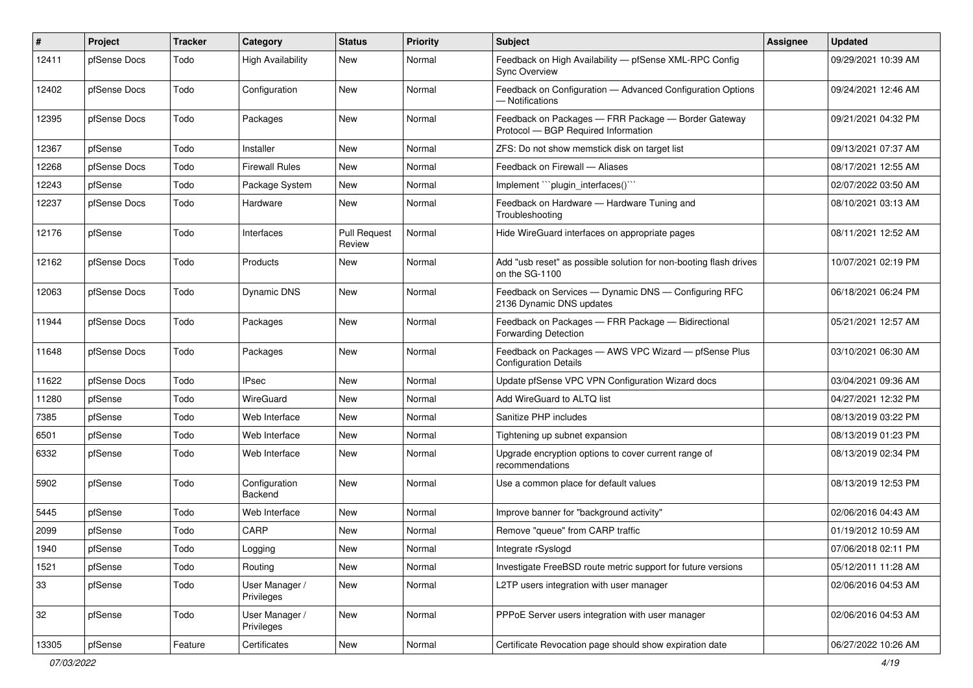| #     | Project      | <b>Tracker</b> | Category                     | <b>Status</b>                 | <b>Priority</b> | Subject                                                                                    | <b>Assignee</b> | <b>Updated</b>      |
|-------|--------------|----------------|------------------------------|-------------------------------|-----------------|--------------------------------------------------------------------------------------------|-----------------|---------------------|
| 12411 | pfSense Docs | Todo           | <b>High Availability</b>     | New                           | Normal          | Feedback on High Availability - pfSense XML-RPC Config<br><b>Sync Overview</b>             |                 | 09/29/2021 10:39 AM |
| 12402 | pfSense Docs | Todo           | Configuration                | New                           | Normal          | Feedback on Configuration - Advanced Configuration Options<br>- Notifications              |                 | 09/24/2021 12:46 AM |
| 12395 | pfSense Docs | Todo           | Packages                     | New                           | Normal          | Feedback on Packages - FRR Package - Border Gateway<br>Protocol - BGP Required Information |                 | 09/21/2021 04:32 PM |
| 12367 | pfSense      | Todo           | Installer                    | New                           | Normal          | ZFS: Do not show memstick disk on target list                                              |                 | 09/13/2021 07:37 AM |
| 12268 | pfSense Docs | Todo           | <b>Firewall Rules</b>        | New                           | Normal          | Feedback on Firewall - Aliases                                                             |                 | 08/17/2021 12:55 AM |
| 12243 | pfSense      | Todo           | Package System               | New                           | Normal          | Implement "``plugin interfaces()```                                                        |                 | 02/07/2022 03:50 AM |
| 12237 | pfSense Docs | Todo           | Hardware                     | New                           | Normal          | Feedback on Hardware - Hardware Tuning and<br>Troubleshooting                              |                 | 08/10/2021 03:13 AM |
| 12176 | pfSense      | Todo           | Interfaces                   | <b>Pull Request</b><br>Review | Normal          | Hide WireGuard interfaces on appropriate pages                                             |                 | 08/11/2021 12:52 AM |
| 12162 | pfSense Docs | Todo           | Products                     | New                           | Normal          | Add "usb reset" as possible solution for non-booting flash drives<br>on the SG-1100        |                 | 10/07/2021 02:19 PM |
| 12063 | pfSense Docs | Todo           | Dynamic DNS                  | New                           | Normal          | Feedback on Services - Dynamic DNS - Configuring RFC<br>2136 Dynamic DNS updates           |                 | 06/18/2021 06:24 PM |
| 11944 | pfSense Docs | Todo           | Packages                     | New                           | Normal          | Feedback on Packages - FRR Package - Bidirectional<br>Forwarding Detection                 |                 | 05/21/2021 12:57 AM |
| 11648 | pfSense Docs | Todo           | Packages                     | New                           | Normal          | Feedback on Packages - AWS VPC Wizard - pfSense Plus<br><b>Configuration Details</b>       |                 | 03/10/2021 06:30 AM |
| 11622 | pfSense Docs | Todo           | <b>IPsec</b>                 | New                           | Normal          | Update pfSense VPC VPN Configuration Wizard docs                                           |                 | 03/04/2021 09:36 AM |
| 11280 | pfSense      | Todo           | WireGuard                    | New                           | Normal          | Add WireGuard to ALTQ list                                                                 |                 | 04/27/2021 12:32 PM |
| 7385  | pfSense      | Todo           | Web Interface                | New                           | Normal          | Sanitize PHP includes                                                                      |                 | 08/13/2019 03:22 PM |
| 6501  | pfSense      | Todo           | Web Interface                | New                           | Normal          | Tightening up subnet expansion                                                             |                 | 08/13/2019 01:23 PM |
| 6332  | pfSense      | Todo           | Web Interface                | New                           | Normal          | Upgrade encryption options to cover current range of<br>recommendations                    |                 | 08/13/2019 02:34 PM |
| 5902  | pfSense      | Todo           | Configuration<br>Backend     | New                           | Normal          | Use a common place for default values                                                      |                 | 08/13/2019 12:53 PM |
| 5445  | pfSense      | Todo           | Web Interface                | New                           | Normal          | Improve banner for "background activity"                                                   |                 | 02/06/2016 04:43 AM |
| 2099  | pfSense      | Todo           | CARP                         | New                           | Normal          | Remove "queue" from CARP traffic                                                           |                 | 01/19/2012 10:59 AM |
| 1940  | pfSense      | Todo           | Logging                      | New                           | Normal          | Integrate rSyslogd                                                                         |                 | 07/06/2018 02:11 PM |
| 1521  | pfSense      | Todo           | Routing                      | New                           | Normal          | Investigate FreeBSD route metric support for future versions                               |                 | 05/12/2011 11:28 AM |
| 33    | pfSense      | Todo           | User Manager /<br>Privileges | New                           | Normal          | L2TP users integration with user manager                                                   |                 | 02/06/2016 04:53 AM |
| 32    | pfSense      | Todo           | User Manager /<br>Privileges | New                           | Normal          | PPPoE Server users integration with user manager                                           |                 | 02/06/2016 04:53 AM |
| 13305 | pfSense      | Feature        | Certificates                 | New                           | Normal          | Certificate Revocation page should show expiration date                                    |                 | 06/27/2022 10:26 AM |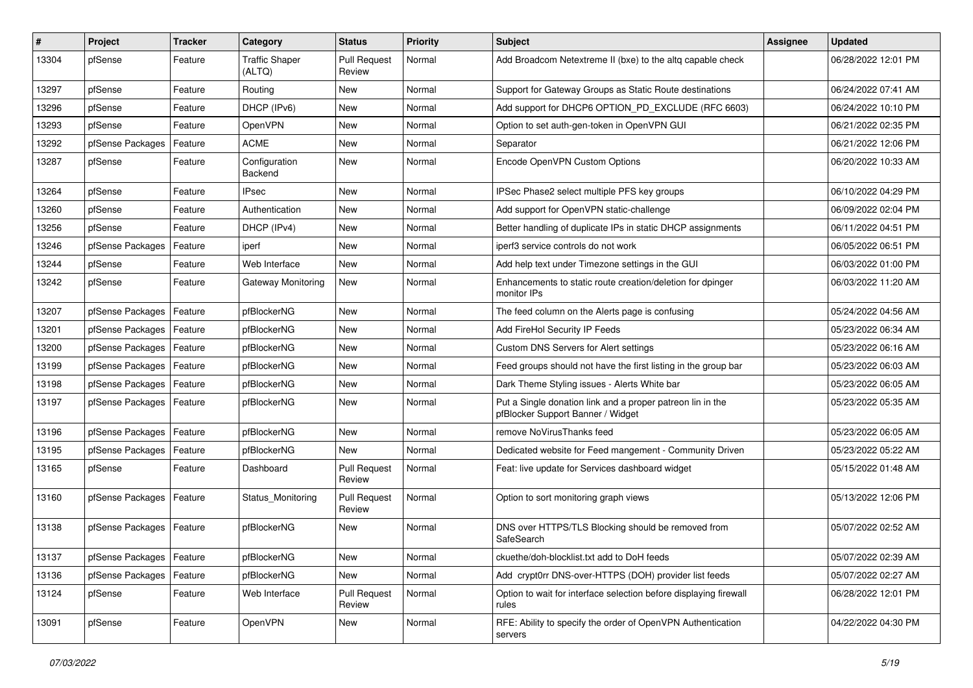| $\vert$ # | Project                    | <b>Tracker</b> | Category                        | <b>Status</b>                 | <b>Priority</b> | Subject                                                                                         | <b>Assignee</b> | <b>Updated</b>      |
|-----------|----------------------------|----------------|---------------------------------|-------------------------------|-----------------|-------------------------------------------------------------------------------------------------|-----------------|---------------------|
| 13304     | pfSense                    | Feature        | Traffic Shaper<br>(ALTQ)        | <b>Pull Request</b><br>Review | Normal          | Add Broadcom Netextreme II (bxe) to the altg capable check                                      |                 | 06/28/2022 12:01 PM |
| 13297     | pfSense                    | Feature        | Routing                         | New                           | Normal          | Support for Gateway Groups as Static Route destinations                                         |                 | 06/24/2022 07:41 AM |
| 13296     | pfSense                    | Feature        | DHCP (IPv6)                     | New                           | Normal          | Add support for DHCP6 OPTION PD EXCLUDE (RFC 6603)                                              |                 | 06/24/2022 10:10 PM |
| 13293     | pfSense                    | Feature        | <b>OpenVPN</b>                  | New                           | Normal          | Option to set auth-gen-token in OpenVPN GUI                                                     |                 | 06/21/2022 02:35 PM |
| 13292     | pfSense Packages           | Feature        | <b>ACME</b>                     | New                           | Normal          | Separator                                                                                       |                 | 06/21/2022 12:06 PM |
| 13287     | pfSense                    | Feature        | Configuration<br><b>Backend</b> | New                           | Normal          | Encode OpenVPN Custom Options                                                                   |                 | 06/20/2022 10:33 AM |
| 13264     | pfSense                    | Feature        | IPsec                           | New                           | Normal          | IPSec Phase2 select multiple PFS key groups                                                     |                 | 06/10/2022 04:29 PM |
| 13260     | pfSense                    | Feature        | Authentication                  | New                           | Normal          | Add support for OpenVPN static-challenge                                                        |                 | 06/09/2022 02:04 PM |
| 13256     | pfSense                    | Feature        | DHCP (IPv4)                     | New                           | Normal          | Better handling of duplicate IPs in static DHCP assignments                                     |                 | 06/11/2022 04:51 PM |
| 13246     | pfSense Packages           | Feature        | iperf                           | <b>New</b>                    | Normal          | iperf3 service controls do not work                                                             |                 | 06/05/2022 06:51 PM |
| 13244     | pfSense                    | Feature        | Web Interface                   | New                           | Normal          | Add help text under Timezone settings in the GUI                                                |                 | 06/03/2022 01:00 PM |
| 13242     | pfSense                    | Feature        | Gateway Monitoring              | New                           | Normal          | Enhancements to static route creation/deletion for dpinger<br>monitor IPs                       |                 | 06/03/2022 11:20 AM |
| 13207     | pfSense Packages           | Feature        | pfBlockerNG                     | <b>New</b>                    | Normal          | The feed column on the Alerts page is confusing                                                 |                 | 05/24/2022 04:56 AM |
| 13201     | pfSense Packages           | Feature        | pfBlockerNG                     | New                           | Normal          | Add FireHol Security IP Feeds                                                                   |                 | 05/23/2022 06:34 AM |
| 13200     | pfSense Packages           | Feature        | pfBlockerNG                     | <b>New</b>                    | Normal          | Custom DNS Servers for Alert settings                                                           |                 | 05/23/2022 06:16 AM |
| 13199     | pfSense Packages           | Feature        | pfBlockerNG                     | New                           | Normal          | Feed groups should not have the first listing in the group bar                                  |                 | 05/23/2022 06:03 AM |
| 13198     | pfSense Packages           | Feature        | pfBlockerNG                     | <b>New</b>                    | Normal          | Dark Theme Styling issues - Alerts White bar                                                    |                 | 05/23/2022 06:05 AM |
| 13197     | pfSense Packages           | Feature        | pfBlockerNG                     | New                           | Normal          | Put a Single donation link and a proper patreon lin in the<br>pfBlocker Support Banner / Widget |                 | 05/23/2022 05:35 AM |
| 13196     | pfSense Packages           | Feature        | pfBlockerNG                     | New                           | Normal          | remove NoVirusThanks feed                                                                       |                 | 05/23/2022 06:05 AM |
| 13195     | pfSense Packages           | Feature        | pfBlockerNG                     | <b>New</b>                    | Normal          | Dedicated website for Feed mangement - Community Driven                                         |                 | 05/23/2022 05:22 AM |
| 13165     | pfSense                    | Feature        | Dashboard                       | <b>Pull Request</b><br>Review | Normal          | Feat: live update for Services dashboard widget                                                 |                 | 05/15/2022 01:48 AM |
| 13160     | pfSense Packages           | Feature        | Status Monitoring               | <b>Pull Request</b><br>Review | Normal          | Option to sort monitoring graph views                                                           |                 | 05/13/2022 12:06 PM |
| 13138     | pfSense Packages           | Feature        | pfBlockerNG                     | New                           | Normal          | DNS over HTTPS/TLS Blocking should be removed from<br>SafeSearch                                |                 | 05/07/2022 02:52 AM |
| 13137     | pfSense Packages   Feature |                | pfBlockerNG                     | New                           | Normal          | ckuethe/doh-blocklist.txt add to DoH feeds                                                      |                 | 05/07/2022 02:39 AM |
| 13136     | pfSense Packages           | Feature        | pfBlockerNG                     | New                           | Normal          | Add crypt0rr DNS-over-HTTPS (DOH) provider list feeds                                           |                 | 05/07/2022 02:27 AM |
| 13124     | pfSense                    | Feature        | Web Interface                   | <b>Pull Request</b><br>Review | Normal          | Option to wait for interface selection before displaying firewall<br>rules                      |                 | 06/28/2022 12:01 PM |
| 13091     | pfSense                    | Feature        | <b>OpenVPN</b>                  | New                           | Normal          | RFE: Ability to specify the order of OpenVPN Authentication<br>servers                          |                 | 04/22/2022 04:30 PM |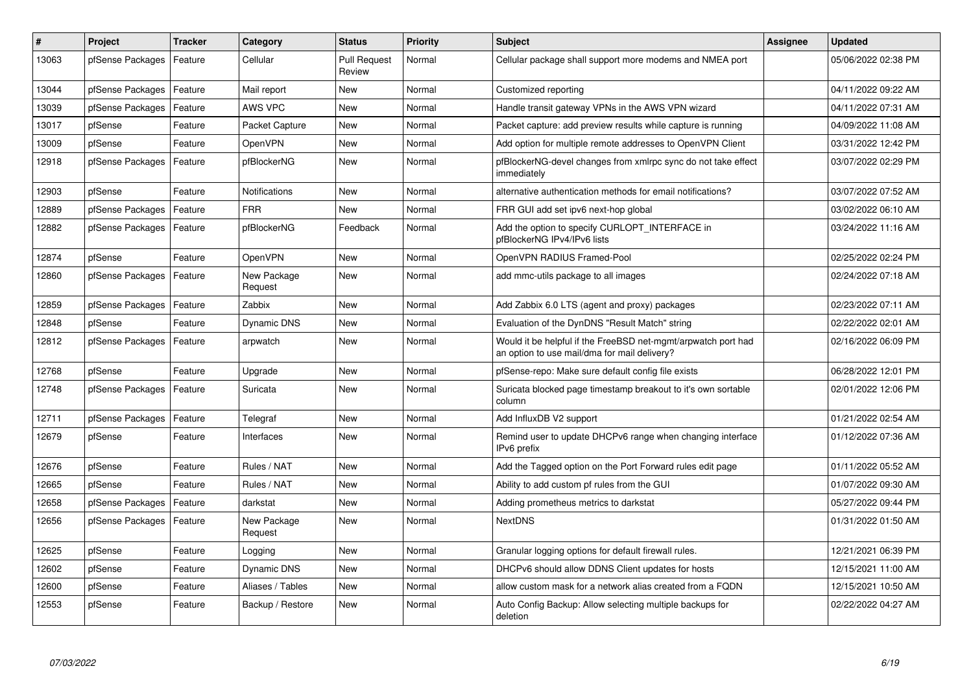| #     | Project          | <b>Tracker</b> | Category               | <b>Status</b>                 | <b>Priority</b> | <b>Subject</b>                                                                                                | Assignee | <b>Updated</b>      |
|-------|------------------|----------------|------------------------|-------------------------------|-----------------|---------------------------------------------------------------------------------------------------------------|----------|---------------------|
| 13063 | pfSense Packages | Feature        | Cellular               | <b>Pull Request</b><br>Review | Normal          | Cellular package shall support more modems and NMEA port                                                      |          | 05/06/2022 02:38 PM |
| 13044 | pfSense Packages | Feature        | Mail report            | New                           | Normal          | Customized reporting                                                                                          |          | 04/11/2022 09:22 AM |
| 13039 | pfSense Packages | Feature        | AWS VPC                | <b>New</b>                    | Normal          | Handle transit gateway VPNs in the AWS VPN wizard                                                             |          | 04/11/2022 07:31 AM |
| 13017 | pfSense          | Feature        | Packet Capture         | <b>New</b>                    | Normal          | Packet capture: add preview results while capture is running                                                  |          | 04/09/2022 11:08 AM |
| 13009 | pfSense          | Feature        | OpenVPN                | New                           | Normal          | Add option for multiple remote addresses to OpenVPN Client                                                    |          | 03/31/2022 12:42 PM |
| 12918 | pfSense Packages | Feature        | pfBlockerNG            | <b>New</b>                    | Normal          | pfBlockerNG-devel changes from xmlrpc sync do not take effect<br>immediately                                  |          | 03/07/2022 02:29 PM |
| 12903 | pfSense          | Feature        | <b>Notifications</b>   | <b>New</b>                    | Normal          | alternative authentication methods for email notifications?                                                   |          | 03/07/2022 07:52 AM |
| 12889 | pfSense Packages | Feature        | <b>FRR</b>             | <b>New</b>                    | Normal          | FRR GUI add set ipv6 next-hop global                                                                          |          | 03/02/2022 06:10 AM |
| 12882 | pfSense Packages | Feature        | pfBlockerNG            | Feedback                      | Normal          | Add the option to specify CURLOPT INTERFACE in<br>pfBlockerNG IPv4/IPv6 lists                                 |          | 03/24/2022 11:16 AM |
| 12874 | pfSense          | Feature        | OpenVPN                | <b>New</b>                    | Normal          | OpenVPN RADIUS Framed-Pool                                                                                    |          | 02/25/2022 02:24 PM |
| 12860 | pfSense Packages | Feature        | New Package<br>Request | New                           | Normal          | add mmc-utils package to all images                                                                           |          | 02/24/2022 07:18 AM |
| 12859 | pfSense Packages | Feature        | Zabbix                 | <b>New</b>                    | Normal          | Add Zabbix 6.0 LTS (agent and proxy) packages                                                                 |          | 02/23/2022 07:11 AM |
| 12848 | pfSense          | Feature        | <b>Dynamic DNS</b>     | <b>New</b>                    | Normal          | Evaluation of the DynDNS "Result Match" string                                                                |          | 02/22/2022 02:01 AM |
| 12812 | pfSense Packages | Feature        | arpwatch               | <b>New</b>                    | Normal          | Would it be helpful if the FreeBSD net-mgmt/arpwatch port had<br>an option to use mail/dma for mail delivery? |          | 02/16/2022 06:09 PM |
| 12768 | pfSense          | Feature        | Upgrade                | <b>New</b>                    | Normal          | pfSense-repo: Make sure default config file exists                                                            |          | 06/28/2022 12:01 PM |
| 12748 | pfSense Packages | Feature        | Suricata               | <b>New</b>                    | Normal          | Suricata blocked page timestamp breakout to it's own sortable<br>column                                       |          | 02/01/2022 12:06 PM |
| 12711 | pfSense Packages | Feature        | Telegraf               | <b>New</b>                    | Normal          | Add InfluxDB V2 support                                                                                       |          | 01/21/2022 02:54 AM |
| 12679 | pfSense          | Feature        | Interfaces             | <b>New</b>                    | Normal          | Remind user to update DHCPv6 range when changing interface<br>IPv6 prefix                                     |          | 01/12/2022 07:36 AM |
| 12676 | pfSense          | Feature        | Rules / NAT            | <b>New</b>                    | Normal          | Add the Tagged option on the Port Forward rules edit page                                                     |          | 01/11/2022 05:52 AM |
| 12665 | pfSense          | Feature        | Rules / NAT            | <b>New</b>                    | Normal          | Ability to add custom pf rules from the GUI                                                                   |          | 01/07/2022 09:30 AM |
| 12658 | pfSense Packages | Feature        | darkstat               | New                           | Normal          | Adding prometheus metrics to darkstat                                                                         |          | 05/27/2022 09:44 PM |
| 12656 | pfSense Packages | Feature        | New Package<br>Request | New                           | Normal          | <b>NextDNS</b>                                                                                                |          | 01/31/2022 01:50 AM |
| 12625 | pfSense          | Feature        | Logging                | New                           | Normal          | Granular logging options for default firewall rules.                                                          |          | 12/21/2021 06:39 PM |
| 12602 | pfSense          | Feature        | <b>Dynamic DNS</b>     | New                           | Normal          | DHCPv6 should allow DDNS Client updates for hosts                                                             |          | 12/15/2021 11:00 AM |
| 12600 | pfSense          | Feature        | Aliases / Tables       | <b>New</b>                    | Normal          | allow custom mask for a network alias created from a FQDN                                                     |          | 12/15/2021 10:50 AM |
| 12553 | pfSense          | Feature        | Backup / Restore       | <b>New</b>                    | Normal          | Auto Config Backup: Allow selecting multiple backups for<br>deletion                                          |          | 02/22/2022 04:27 AM |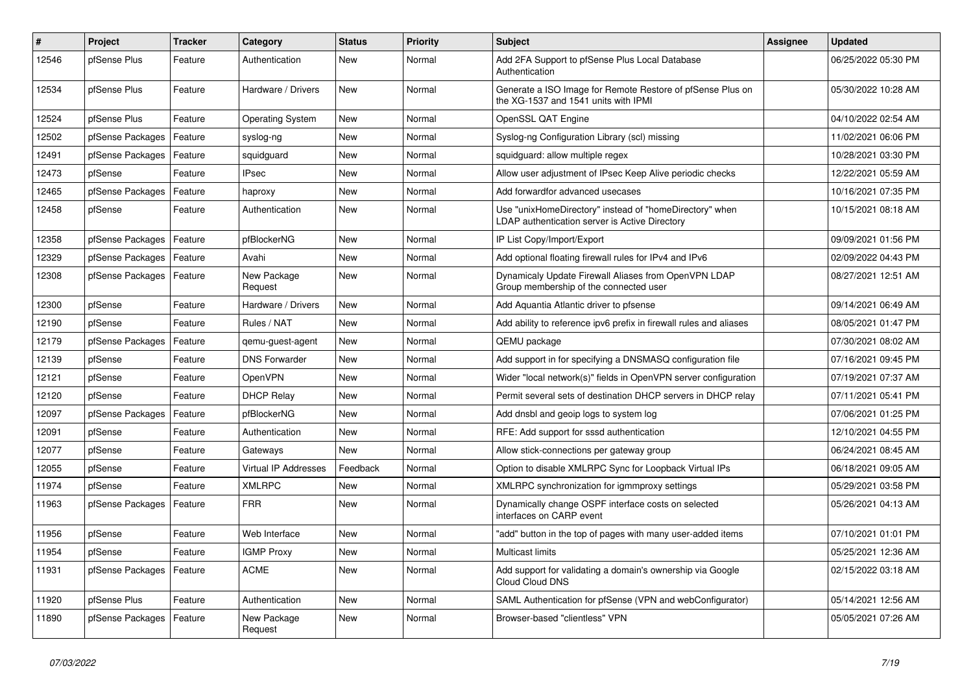| #     | Project          | <b>Tracker</b> | Category                | <b>Status</b> | <b>Priority</b> | <b>Subject</b>                                                                                            | Assignee | <b>Updated</b>      |
|-------|------------------|----------------|-------------------------|---------------|-----------------|-----------------------------------------------------------------------------------------------------------|----------|---------------------|
| 12546 | pfSense Plus     | Feature        | Authentication          | New           | Normal          | Add 2FA Support to pfSense Plus Local Database<br>Authentication                                          |          | 06/25/2022 05:30 PM |
| 12534 | pfSense Plus     | Feature        | Hardware / Drivers      | New           | Normal          | Generate a ISO Image for Remote Restore of pfSense Plus on<br>the XG-1537 and 1541 units with IPMI        |          | 05/30/2022 10:28 AM |
| 12524 | pfSense Plus     | Feature        | <b>Operating System</b> | New           | Normal          | OpenSSL QAT Engine                                                                                        |          | 04/10/2022 02:54 AM |
| 12502 | pfSense Packages | Feature        | syslog-ng               | New           | Normal          | Syslog-ng Configuration Library (scl) missing                                                             |          | 11/02/2021 06:06 PM |
| 12491 | pfSense Packages | Feature        | squidguard              | New           | Normal          | squidguard: allow multiple regex                                                                          |          | 10/28/2021 03:30 PM |
| 12473 | pfSense          | Feature        | <b>IPsec</b>            | New           | Normal          | Allow user adjustment of IPsec Keep Alive periodic checks                                                 |          | 12/22/2021 05:59 AM |
| 12465 | pfSense Packages | Feature        | haproxy                 | New           | Normal          | Add forwardfor advanced usecases                                                                          |          | 10/16/2021 07:35 PM |
| 12458 | pfSense          | Feature        | Authentication          | New           | Normal          | Use "unixHomeDirectory" instead of "homeDirectory" when<br>LDAP authentication server is Active Directory |          | 10/15/2021 08:18 AM |
| 12358 | pfSense Packages | Feature        | pfBlockerNG             | New           | Normal          | IP List Copy/Import/Export                                                                                |          | 09/09/2021 01:56 PM |
| 12329 | pfSense Packages | Feature        | Avahi                   | New           | Normal          | Add optional floating firewall rules for IPv4 and IPv6                                                    |          | 02/09/2022 04:43 PM |
| 12308 | pfSense Packages | Feature        | New Package<br>Request  | New           | Normal          | Dynamicaly Update Firewall Aliases from OpenVPN LDAP<br>Group membership of the connected user            |          | 08/27/2021 12:51 AM |
| 12300 | pfSense          | Feature        | Hardware / Drivers      | New           | Normal          | Add Aquantia Atlantic driver to pfsense                                                                   |          | 09/14/2021 06:49 AM |
| 12190 | pfSense          | Feature        | Rules / NAT             | New           | Normal          | Add ability to reference ipv6 prefix in firewall rules and aliases                                        |          | 08/05/2021 01:47 PM |
| 12179 | pfSense Packages | Feature        | qemu-guest-agent        | New           | Normal          | QEMU package                                                                                              |          | 07/30/2021 08:02 AM |
| 12139 | pfSense          | Feature        | <b>DNS Forwarder</b>    | New           | Normal          | Add support in for specifying a DNSMASQ configuration file                                                |          | 07/16/2021 09:45 PM |
| 12121 | pfSense          | Feature        | <b>OpenVPN</b>          | New           | Normal          | Wider "local network(s)" fields in OpenVPN server configuration                                           |          | 07/19/2021 07:37 AM |
| 12120 | pfSense          | Feature        | <b>DHCP Relay</b>       | New           | Normal          | Permit several sets of destination DHCP servers in DHCP relay                                             |          | 07/11/2021 05:41 PM |
| 12097 | pfSense Packages | Feature        | pfBlockerNG             | New           | Normal          | Add dnsbl and geoip logs to system log                                                                    |          | 07/06/2021 01:25 PM |
| 12091 | pfSense          | Feature        | Authentication          | <b>New</b>    | Normal          | RFE: Add support for sssd authentication                                                                  |          | 12/10/2021 04:55 PM |
| 12077 | pfSense          | Feature        | Gateways                | New           | Normal          | Allow stick-connections per gateway group                                                                 |          | 06/24/2021 08:45 AM |
| 12055 | pfSense          | Feature        | Virtual IP Addresses    | Feedback      | Normal          | Option to disable XMLRPC Sync for Loopback Virtual IPs                                                    |          | 06/18/2021 09:05 AM |
| 11974 | pfSense          | Feature        | <b>XMLRPC</b>           | New           | Normal          | XMLRPC synchronization for igmmproxy settings                                                             |          | 05/29/2021 03:58 PM |
| 11963 | pfSense Packages | Feature        | <b>FRR</b>              | New           | Normal          | Dynamically change OSPF interface costs on selected<br>interfaces on CARP event                           |          | 05/26/2021 04:13 AM |
| 11956 | pfSense          | Feature        | Web Interface           | New           | Normal          | "add" button in the top of pages with many user-added items                                               |          | 07/10/2021 01:01 PM |
| 11954 | pfSense          | Feature        | <b>IGMP Proxy</b>       | I New         | Normal          | Multicast limits                                                                                          |          | 05/25/2021 12:36 AM |
| 11931 | pfSense Packages | Feature        | ACME                    | New           | Normal          | Add support for validating a domain's ownership via Google<br>Cloud Cloud DNS                             |          | 02/15/2022 03:18 AM |
| 11920 | pfSense Plus     | Feature        | Authentication          | New           | Normal          | SAML Authentication for pfSense (VPN and webConfigurator)                                                 |          | 05/14/2021 12:56 AM |
| 11890 | pfSense Packages | Feature        | New Package<br>Request  | New           | Normal          | Browser-based "clientless" VPN                                                                            |          | 05/05/2021 07:26 AM |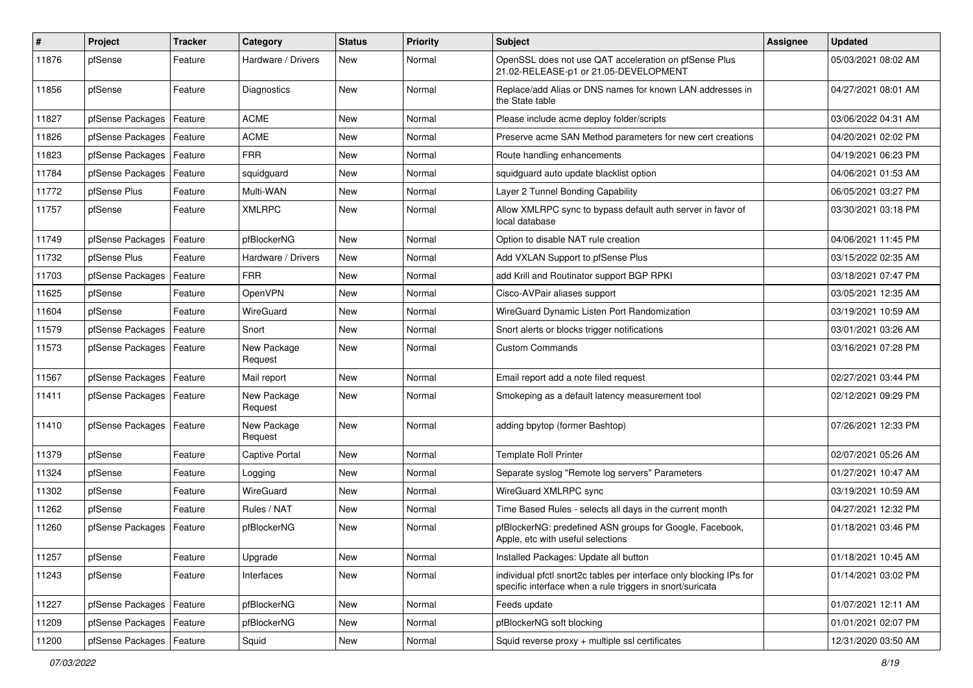| #     | <b>Project</b>             | <b>Tracker</b> | Category               | <b>Status</b> | <b>Priority</b> | <b>Subject</b>                                                                                                                   | <b>Assignee</b> | <b>Updated</b>      |
|-------|----------------------------|----------------|------------------------|---------------|-----------------|----------------------------------------------------------------------------------------------------------------------------------|-----------------|---------------------|
| 11876 | pfSense                    | Feature        | Hardware / Drivers     | New           | Normal          | OpenSSL does not use QAT acceleration on pfSense Plus<br>21.02-RELEASE-p1 or 21.05-DEVELOPMENT                                   |                 | 05/03/2021 08:02 AM |
| 11856 | pfSense                    | Feature        | Diagnostics            | <b>New</b>    | Normal          | Replace/add Alias or DNS names for known LAN addresses in<br>the State table                                                     |                 | 04/27/2021 08:01 AM |
| 11827 | pfSense Packages           | Feature        | <b>ACME</b>            | New           | Normal          | Please include acme deploy folder/scripts                                                                                        |                 | 03/06/2022 04:31 AM |
| 11826 | pfSense Packages           | Feature        | ACME                   | New           | Normal          | Preserve acme SAN Method parameters for new cert creations                                                                       |                 | 04/20/2021 02:02 PM |
| 11823 | pfSense Packages           | Feature        | <b>FRR</b>             | New           | Normal          | Route handling enhancements                                                                                                      |                 | 04/19/2021 06:23 PM |
| 11784 | pfSense Packages           | Feature        | squidquard             | New           | Normal          | squidguard auto update blacklist option                                                                                          |                 | 04/06/2021 01:53 AM |
| 11772 | pfSense Plus               | Feature        | Multi-WAN              | New           | Normal          | Layer 2 Tunnel Bonding Capability                                                                                                |                 | 06/05/2021 03:27 PM |
| 11757 | pfSense                    | Feature        | <b>XMLRPC</b>          | New           | Normal          | Allow XMLRPC sync to bypass default auth server in favor of<br>local database                                                    |                 | 03/30/2021 03:18 PM |
| 11749 | pfSense Packages           | Feature        | pfBlockerNG            | New           | Normal          | Option to disable NAT rule creation                                                                                              |                 | 04/06/2021 11:45 PM |
| 11732 | pfSense Plus               | Feature        | Hardware / Drivers     | New           | Normal          | Add VXLAN Support to pfSense Plus                                                                                                |                 | 03/15/2022 02:35 AM |
| 11703 | pfSense Packages           | Feature        | <b>FRR</b>             | New           | Normal          | add Krill and Routinator support BGP RPKI                                                                                        |                 | 03/18/2021 07:47 PM |
| 11625 | pfSense                    | Feature        | <b>OpenVPN</b>         | New           | Normal          | Cisco-AVPair aliases support                                                                                                     |                 | 03/05/2021 12:35 AM |
| 11604 | pfSense                    | Feature        | WireGuard              | New           | Normal          | WireGuard Dynamic Listen Port Randomization                                                                                      |                 | 03/19/2021 10:59 AM |
| 11579 | pfSense Packages           | Feature        | Snort                  | New           | Normal          | Snort alerts or blocks trigger notifications                                                                                     |                 | 03/01/2021 03:26 AM |
| 11573 | pfSense Packages           | Feature        | New Package<br>Request | New           | Normal          | <b>Custom Commands</b>                                                                                                           |                 | 03/16/2021 07:28 PM |
| 11567 | pfSense Packages           | Feature        | Mail report            | New           | Normal          | Email report add a note filed request                                                                                            |                 | 02/27/2021 03:44 PM |
| 11411 | pfSense Packages           | Feature        | New Package<br>Request | New           | Normal          | Smokeping as a default latency measurement tool                                                                                  |                 | 02/12/2021 09:29 PM |
| 11410 | pfSense Packages           | Feature        | New Package<br>Request | New           | Normal          | adding bpytop (former Bashtop)                                                                                                   |                 | 07/26/2021 12:33 PM |
| 11379 | pfSense                    | Feature        | Captive Portal         | New           | Normal          | <b>Template Roll Printer</b>                                                                                                     |                 | 02/07/2021 05:26 AM |
| 11324 | pfSense                    | Feature        | Logging                | New           | Normal          | Separate syslog "Remote log servers" Parameters                                                                                  |                 | 01/27/2021 10:47 AM |
| 11302 | pfSense                    | Feature        | WireGuard              | New           | Normal          | WireGuard XMLRPC sync                                                                                                            |                 | 03/19/2021 10:59 AM |
| 11262 | pfSense                    | Feature        | Rules / NAT            | New           | Normal          | Time Based Rules - selects all days in the current month                                                                         |                 | 04/27/2021 12:32 PM |
| 11260 | pfSense Packages           | Feature        | pfBlockerNG            | New           | Normal          | pfBlockerNG: predefined ASN groups for Google, Facebook,<br>Apple, etc with useful selections                                    |                 | 01/18/2021 03:46 PM |
| 11257 | pfSense                    | Feature        | Upgrade                | New           | Normal          | Installed Packages: Update all button                                                                                            |                 | 01/18/2021 10:45 AM |
| 11243 | pfSense                    | Feature        | Interfaces             | New           | Normal          | individual pfctl snort2c tables per interface only blocking IPs for<br>specific interface when a rule triggers in snort/suricata |                 | 01/14/2021 03:02 PM |
| 11227 | pfSense Packages           | Feature        | pfBlockerNG            | New           | Normal          | Feeds update                                                                                                                     |                 | 01/07/2021 12:11 AM |
| 11209 | pfSense Packages           | Feature        | pfBlockerNG            | New           | Normal          | pfBlockerNG soft blocking                                                                                                        |                 | 01/01/2021 02:07 PM |
| 11200 | pfSense Packages   Feature |                | Squid                  | New           | Normal          | Squid reverse proxy + multiple ssl certificates                                                                                  |                 | 12/31/2020 03:50 AM |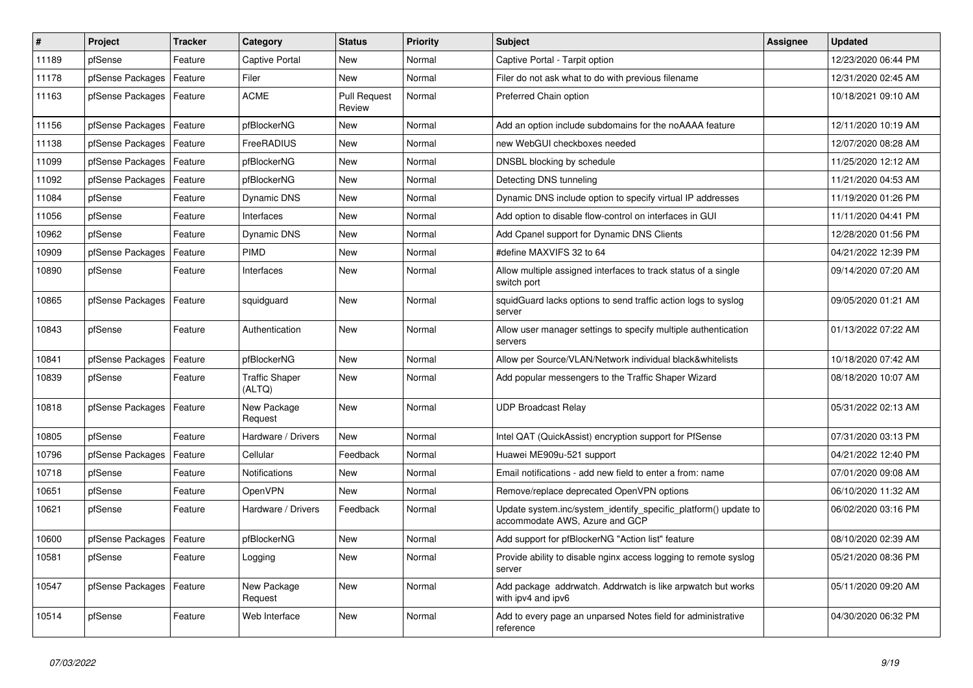| $\vert$ # | Project          | <b>Tracker</b> | Category                        | <b>Status</b>                 | <b>Priority</b> | <b>Subject</b>                                                                                    | Assignee | <b>Updated</b>      |
|-----------|------------------|----------------|---------------------------------|-------------------------------|-----------------|---------------------------------------------------------------------------------------------------|----------|---------------------|
| 11189     | pfSense          | Feature        | Captive Portal                  | <b>New</b>                    | Normal          | Captive Portal - Tarpit option                                                                    |          | 12/23/2020 06:44 PM |
| 11178     | pfSense Packages | Feature        | Filer                           | New                           | Normal          | Filer do not ask what to do with previous filename                                                |          | 12/31/2020 02:45 AM |
| 11163     | pfSense Packages | Feature        | <b>ACME</b>                     | <b>Pull Request</b><br>Review | Normal          | Preferred Chain option                                                                            |          | 10/18/2021 09:10 AM |
| 11156     | pfSense Packages | Feature        | pfBlockerNG                     | <b>New</b>                    | Normal          | Add an option include subdomains for the noAAAA feature                                           |          | 12/11/2020 10:19 AM |
| 11138     | pfSense Packages | Feature        | FreeRADIUS                      | <b>New</b>                    | Normal          | new WebGUI checkboxes needed                                                                      |          | 12/07/2020 08:28 AM |
| 11099     | pfSense Packages | Feature        | pfBlockerNG                     | <b>New</b>                    | Normal          | DNSBL blocking by schedule                                                                        |          | 11/25/2020 12:12 AM |
| 11092     | pfSense Packages | Feature        | pfBlockerNG                     | <b>New</b>                    | Normal          | Detecting DNS tunneling                                                                           |          | 11/21/2020 04:53 AM |
| 11084     | pfSense          | Feature        | Dynamic DNS                     | <b>New</b>                    | Normal          | Dynamic DNS include option to specify virtual IP addresses                                        |          | 11/19/2020 01:26 PM |
| 11056     | pfSense          | Feature        | Interfaces                      | <b>New</b>                    | Normal          | Add option to disable flow-control on interfaces in GUI                                           |          | 11/11/2020 04:41 PM |
| 10962     | pfSense          | Feature        | <b>Dynamic DNS</b>              | New                           | Normal          | Add Cpanel support for Dynamic DNS Clients                                                        |          | 12/28/2020 01:56 PM |
| 10909     | pfSense Packages | Feature        | <b>PIMD</b>                     | <b>New</b>                    | Normal          | #define MAXVIFS 32 to 64                                                                          |          | 04/21/2022 12:39 PM |
| 10890     | pfSense          | Feature        | Interfaces                      | <b>New</b>                    | Normal          | Allow multiple assigned interfaces to track status of a single<br>switch port                     |          | 09/14/2020 07:20 AM |
| 10865     | pfSense Packages | Feature        | squidguard                      | <b>New</b>                    | Normal          | squidGuard lacks options to send traffic action logs to syslog<br>server                          |          | 09/05/2020 01:21 AM |
| 10843     | pfSense          | Feature        | Authentication                  | New                           | Normal          | Allow user manager settings to specify multiple authentication<br>servers                         |          | 01/13/2022 07:22 AM |
| 10841     | pfSense Packages | Feature        | pfBlockerNG                     | New                           | Normal          | Allow per Source/VLAN/Network individual black&whitelists                                         |          | 10/18/2020 07:42 AM |
| 10839     | pfSense          | Feature        | <b>Traffic Shaper</b><br>(ALTQ) | New                           | Normal          | Add popular messengers to the Traffic Shaper Wizard                                               |          | 08/18/2020 10:07 AM |
| 10818     | pfSense Packages | Feature        | New Package<br>Request          | <b>New</b>                    | Normal          | <b>UDP Broadcast Relay</b>                                                                        |          | 05/31/2022 02:13 AM |
| 10805     | pfSense          | Feature        | Hardware / Drivers              | New                           | Normal          | Intel QAT (QuickAssist) encryption support for PfSense                                            |          | 07/31/2020 03:13 PM |
| 10796     | pfSense Packages | Feature        | Cellular                        | Feedback                      | Normal          | Huawei ME909u-521 support                                                                         |          | 04/21/2022 12:40 PM |
| 10718     | pfSense          | Feature        | Notifications                   | <b>New</b>                    | Normal          | Email notifications - add new field to enter a from: name                                         |          | 07/01/2020 09:08 AM |
| 10651     | pfSense          | Feature        | <b>OpenVPN</b>                  | New                           | Normal          | Remove/replace deprecated OpenVPN options                                                         |          | 06/10/2020 11:32 AM |
| 10621     | pfSense          | Feature        | Hardware / Drivers              | Feedback                      | Normal          | Update system.inc/system_identify_specific_platform() update to<br>accommodate AWS, Azure and GCP |          | 06/02/2020 03:16 PM |
| 10600     | pfSense Packages | Feature        | pfBlockerNG                     | New                           | Normal          | Add support for pfBlockerNG "Action list" feature                                                 |          | 08/10/2020 02:39 AM |
| 10581     | pfSense          | Feature        | Logging                         | New                           | Normal          | Provide ability to disable nginx access logging to remote syslog<br>server                        |          | 05/21/2020 08:36 PM |
| 10547     | pfSense Packages | Feature        | New Package<br>Request          | <b>New</b>                    | Normal          | Add package addrwatch. Addrwatch is like arpwatch but works<br>with ipv4 and ipv6                 |          | 05/11/2020 09:20 AM |
| 10514     | pfSense          | Feature        | Web Interface                   | <b>New</b>                    | Normal          | Add to every page an unparsed Notes field for administrative<br>reference                         |          | 04/30/2020 06:32 PM |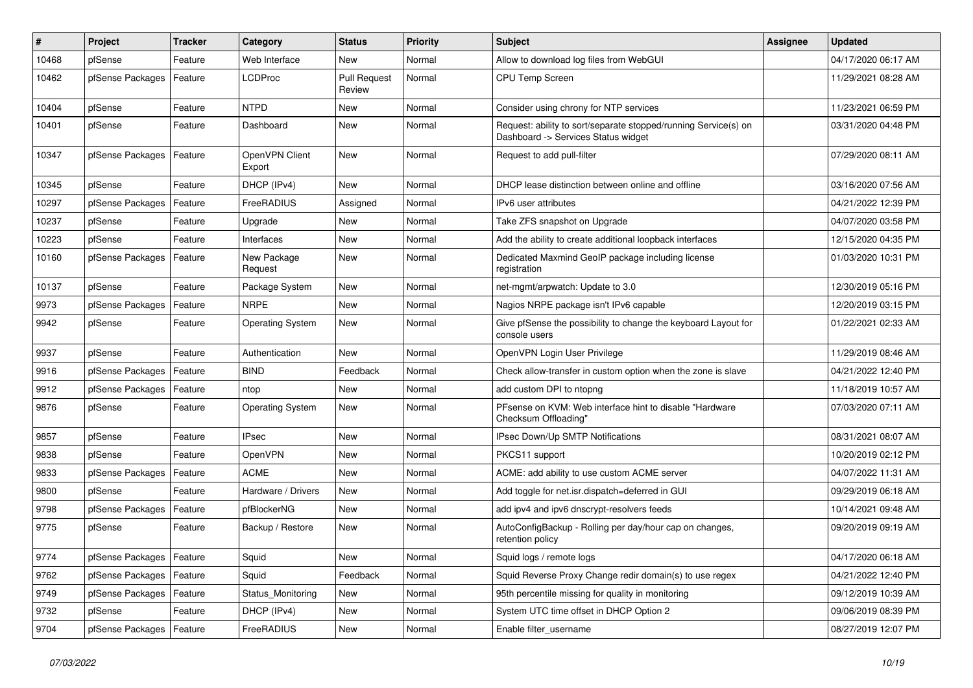| #     | <b>Project</b>             | <b>Tracker</b> | Category                 | <b>Status</b>                 | <b>Priority</b> | <b>Subject</b>                                                                                         | Assignee | <b>Updated</b>      |
|-------|----------------------------|----------------|--------------------------|-------------------------------|-----------------|--------------------------------------------------------------------------------------------------------|----------|---------------------|
| 10468 | pfSense                    | Feature        | Web Interface            | New                           | Normal          | Allow to download log files from WebGUI                                                                |          | 04/17/2020 06:17 AM |
| 10462 | pfSense Packages           | Feature        | <b>LCDProc</b>           | <b>Pull Request</b><br>Review | Normal          | CPU Temp Screen                                                                                        |          | 11/29/2021 08:28 AM |
| 10404 | pfSense                    | Feature        | <b>NTPD</b>              | New                           | Normal          | Consider using chrony for NTP services                                                                 |          | 11/23/2021 06:59 PM |
| 10401 | pfSense                    | Feature        | Dashboard                | New                           | Normal          | Request: ability to sort/separate stopped/running Service(s) on<br>Dashboard -> Services Status widget |          | 03/31/2020 04:48 PM |
| 10347 | pfSense Packages           | Feature        | OpenVPN Client<br>Export | New                           | Normal          | Request to add pull-filter                                                                             |          | 07/29/2020 08:11 AM |
| 10345 | pfSense                    | Feature        | DHCP (IPv4)              | New                           | Normal          | DHCP lease distinction between online and offline                                                      |          | 03/16/2020 07:56 AM |
| 10297 | pfSense Packages           | Feature        | FreeRADIUS               | Assigned                      | Normal          | IPv6 user attributes                                                                                   |          | 04/21/2022 12:39 PM |
| 10237 | pfSense                    | Feature        | Upgrade                  | New                           | Normal          | Take ZFS snapshot on Upgrade                                                                           |          | 04/07/2020 03:58 PM |
| 10223 | pfSense                    | Feature        | Interfaces               | New                           | Normal          | Add the ability to create additional loopback interfaces                                               |          | 12/15/2020 04:35 PM |
| 10160 | pfSense Packages           | Feature        | New Package<br>Request   | New                           | Normal          | Dedicated Maxmind GeoIP package including license<br>registration                                      |          | 01/03/2020 10:31 PM |
| 10137 | pfSense                    | Feature        | Package System           | New                           | Normal          | net-mgmt/arpwatch: Update to 3.0                                                                       |          | 12/30/2019 05:16 PM |
| 9973  | pfSense Packages           | Feature        | NRPE                     | New                           | Normal          | Nagios NRPE package isn't IPv6 capable                                                                 |          | 12/20/2019 03:15 PM |
| 9942  | pfSense                    | Feature        | <b>Operating System</b>  | New                           | Normal          | Give pfSense the possibility to change the keyboard Layout for<br>console users                        |          | 01/22/2021 02:33 AM |
| 9937  | pfSense                    | Feature        | Authentication           | <b>New</b>                    | Normal          | OpenVPN Login User Privilege                                                                           |          | 11/29/2019 08:46 AM |
| 9916  | pfSense Packages           | Feature        | <b>BIND</b>              | Feedback                      | Normal          | Check allow-transfer in custom option when the zone is slave                                           |          | 04/21/2022 12:40 PM |
| 9912  | pfSense Packages           | Feature        | ntop                     | New                           | Normal          | add custom DPI to ntopng                                                                               |          | 11/18/2019 10:57 AM |
| 9876  | pfSense                    | Feature        | <b>Operating System</b>  | New                           | Normal          | PFsense on KVM: Web interface hint to disable "Hardware<br>Checksum Offloading"                        |          | 07/03/2020 07:11 AM |
| 9857  | pfSense                    | Feature        | <b>IPsec</b>             | New                           | Normal          | IPsec Down/Up SMTP Notifications                                                                       |          | 08/31/2021 08:07 AM |
| 9838  | pfSense                    | Feature        | <b>OpenVPN</b>           | New                           | Normal          | PKCS11 support                                                                                         |          | 10/20/2019 02:12 PM |
| 9833  | pfSense Packages           | Feature        | <b>ACME</b>              | New                           | Normal          | ACME: add ability to use custom ACME server                                                            |          | 04/07/2022 11:31 AM |
| 9800  | pfSense                    | Feature        | Hardware / Drivers       | New                           | Normal          | Add toggle for net.isr.dispatch=deferred in GUI                                                        |          | 09/29/2019 06:18 AM |
| 9798  | pfSense Packages           | Feature        | pfBlockerNG              | New                           | Normal          | add ipv4 and ipv6 dnscrypt-resolvers feeds                                                             |          | 10/14/2021 09:48 AM |
| 9775  | pfSense                    | Feature        | Backup / Restore         | New                           | Normal          | AutoConfigBackup - Rolling per day/hour cap on changes,<br>retention policy                            |          | 09/20/2019 09:19 AM |
| 9774  | pfSense Packages   Feature |                | Squid                    | New                           | Normal          | Squid logs / remote logs                                                                               |          | 04/17/2020 06:18 AM |
| 9762  | pfSense Packages           | Feature        | Squid                    | Feedback                      | Normal          | Squid Reverse Proxy Change redir domain(s) to use regex                                                |          | 04/21/2022 12:40 PM |
| 9749  | pfSense Packages           | Feature        | Status_Monitoring        | New                           | Normal          | 95th percentile missing for quality in monitoring                                                      |          | 09/12/2019 10:39 AM |
| 9732  | pfSense                    | Feature        | DHCP (IPv4)              | New                           | Normal          | System UTC time offset in DHCP Option 2                                                                |          | 09/06/2019 08:39 PM |
| 9704  | pfSense Packages           | Feature        | FreeRADIUS               | New                           | Normal          | Enable filter_username                                                                                 |          | 08/27/2019 12:07 PM |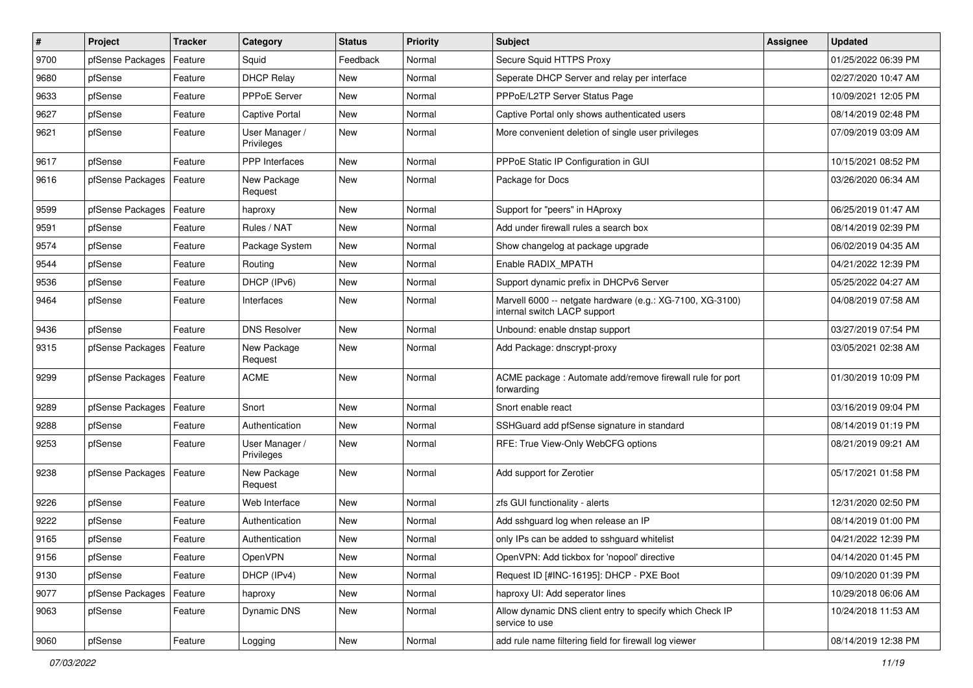| $\vert$ # | Project          | <b>Tracker</b> | Category                     | <b>Status</b> | <b>Priority</b> | Subject                                                                                   | <b>Assignee</b> | <b>Updated</b>      |
|-----------|------------------|----------------|------------------------------|---------------|-----------------|-------------------------------------------------------------------------------------------|-----------------|---------------------|
| 9700      | pfSense Packages | Feature        | Squid                        | Feedback      | Normal          | Secure Squid HTTPS Proxy                                                                  |                 | 01/25/2022 06:39 PM |
| 9680      | pfSense          | Feature        | <b>DHCP Relay</b>            | New           | Normal          | Seperate DHCP Server and relay per interface                                              |                 | 02/27/2020 10:47 AM |
| 9633      | pfSense          | Feature        | PPPoE Server                 | New           | Normal          | PPPoE/L2TP Server Status Page                                                             |                 | 10/09/2021 12:05 PM |
| 9627      | pfSense          | Feature        | Captive Portal               | <b>New</b>    | Normal          | Captive Portal only shows authenticated users                                             |                 | 08/14/2019 02:48 PM |
| 9621      | pfSense          | Feature        | User Manager /<br>Privileges | New           | Normal          | More convenient deletion of single user privileges                                        |                 | 07/09/2019 03:09 AM |
| 9617      | pfSense          | Feature        | PPP Interfaces               | New           | Normal          | PPPoE Static IP Configuration in GUI                                                      |                 | 10/15/2021 08:52 PM |
| 9616      | pfSense Packages | Feature        | New Package<br>Request       | New           | Normal          | Package for Docs                                                                          |                 | 03/26/2020 06:34 AM |
| 9599      | pfSense Packages | Feature        | haproxy                      | New           | Normal          | Support for "peers" in HAproxy                                                            |                 | 06/25/2019 01:47 AM |
| 9591      | pfSense          | Feature        | Rules / NAT                  | New           | Normal          | Add under firewall rules a search box                                                     |                 | 08/14/2019 02:39 PM |
| 9574      | pfSense          | Feature        | Package System               | New           | Normal          | Show changelog at package upgrade                                                         |                 | 06/02/2019 04:35 AM |
| 9544      | pfSense          | Feature        | Routing                      | New           | Normal          | Enable RADIX_MPATH                                                                        |                 | 04/21/2022 12:39 PM |
| 9536      | pfSense          | Feature        | DHCP (IPv6)                  | New           | Normal          | Support dynamic prefix in DHCPv6 Server                                                   |                 | 05/25/2022 04:27 AM |
| 9464      | pfSense          | Feature        | Interfaces                   | New           | Normal          | Marvell 6000 -- netgate hardware (e.g.: XG-7100, XG-3100)<br>internal switch LACP support |                 | 04/08/2019 07:58 AM |
| 9436      | pfSense          | Feature        | <b>DNS Resolver</b>          | New           | Normal          | Unbound: enable dnstap support                                                            |                 | 03/27/2019 07:54 PM |
| 9315      | pfSense Packages | Feature        | New Package<br>Request       | New           | Normal          | Add Package: dnscrypt-proxy                                                               |                 | 03/05/2021 02:38 AM |
| 9299      | pfSense Packages | Feature        | <b>ACME</b>                  | New           | Normal          | ACME package : Automate add/remove firewall rule for port<br>forwarding                   |                 | 01/30/2019 10:09 PM |
| 9289      | pfSense Packages | Feature        | Snort                        | New           | Normal          | Snort enable react                                                                        |                 | 03/16/2019 09:04 PM |
| 9288      | pfSense          | Feature        | Authentication               | New           | Normal          | SSHGuard add pfSense signature in standard                                                |                 | 08/14/2019 01:19 PM |
| 9253      | pfSense          | Feature        | User Manager /<br>Privileges | New           | Normal          | RFE: True View-Only WebCFG options                                                        |                 | 08/21/2019 09:21 AM |
| 9238      | pfSense Packages | Feature        | New Package<br>Request       | New           | Normal          | Add support for Zerotier                                                                  |                 | 05/17/2021 01:58 PM |
| 9226      | pfSense          | Feature        | Web Interface                | New           | Normal          | zfs GUI functionality - alerts                                                            |                 | 12/31/2020 02:50 PM |
| 9222      | pfSense          | Feature        | Authentication               | New           | Normal          | Add sshguard log when release an IP                                                       |                 | 08/14/2019 01:00 PM |
| 9165      | pfSense          | Feature        | Authentication               | New           | Normal          | only IPs can be added to sshguard whitelist                                               |                 | 04/21/2022 12:39 PM |
| 9156      | pfSense          | Feature        | OpenVPN                      | New           | Normal          | OpenVPN: Add tickbox for 'nopool' directive                                               |                 | 04/14/2020 01:45 PM |
| 9130      | pfSense          | Feature        | DHCP (IPv4)                  | New           | Normal          | Request ID [#INC-16195]: DHCP - PXE Boot                                                  |                 | 09/10/2020 01:39 PM |
| 9077      | pfSense Packages | Feature        | haproxy                      | New           | Normal          | haproxy UI: Add seperator lines                                                           |                 | 10/29/2018 06:06 AM |
| 9063      | pfSense          | Feature        | <b>Dynamic DNS</b>           | New           | Normal          | Allow dynamic DNS client entry to specify which Check IP<br>service to use                |                 | 10/24/2018 11:53 AM |
| 9060      | pfSense          | Feature        | Logging                      | New           | Normal          | add rule name filtering field for firewall log viewer                                     |                 | 08/14/2019 12:38 PM |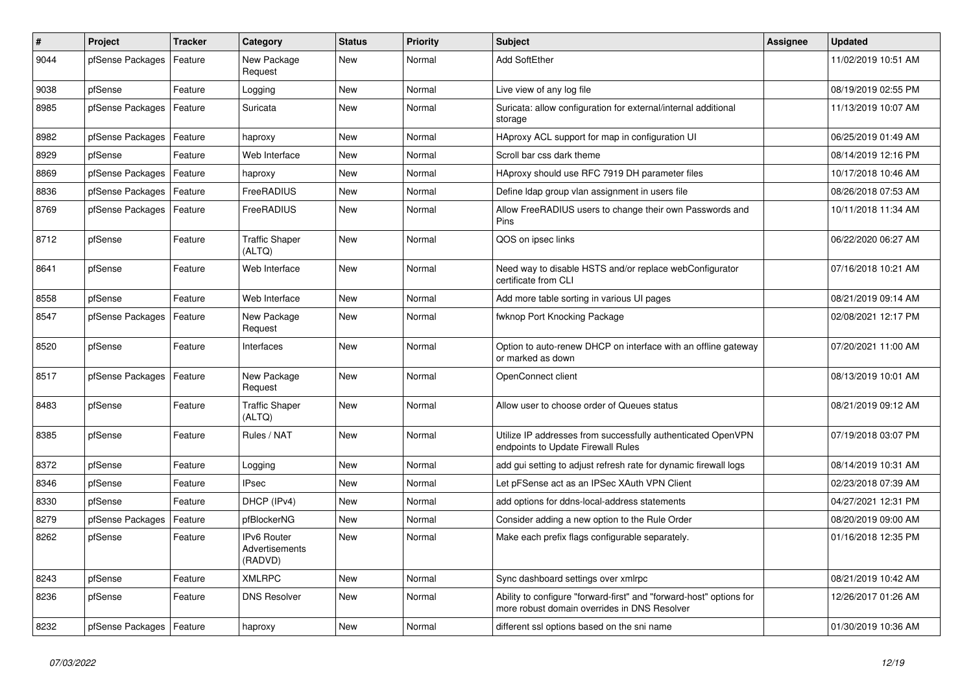| $\vert$ # | Project                    | <b>Tracker</b> | Category                                 | <b>Status</b> | Priority | <b>Subject</b>                                                                                                      | <b>Assignee</b> | <b>Updated</b>      |
|-----------|----------------------------|----------------|------------------------------------------|---------------|----------|---------------------------------------------------------------------------------------------------------------------|-----------------|---------------------|
| 9044      | pfSense Packages           | Feature        | New Package<br>Request                   | <b>New</b>    | Normal   | <b>Add SoftEther</b>                                                                                                |                 | 11/02/2019 10:51 AM |
| 9038      | pfSense                    | Feature        | Logging                                  | <b>New</b>    | Normal   | Live view of any log file                                                                                           |                 | 08/19/2019 02:55 PM |
| 8985      | pfSense Packages           | Feature        | Suricata                                 | <b>New</b>    | Normal   | Suricata: allow configuration for external/internal additional<br>storage                                           |                 | 11/13/2019 10:07 AM |
| 8982      | pfSense Packages           | Feature        | haproxy                                  | <b>New</b>    | Normal   | HAproxy ACL support for map in configuration UI                                                                     |                 | 06/25/2019 01:49 AM |
| 8929      | pfSense                    | Feature        | Web Interface                            | <b>New</b>    | Normal   | Scroll bar css dark theme                                                                                           |                 | 08/14/2019 12:16 PM |
| 8869      | pfSense Packages           | Feature        | haproxy                                  | <b>New</b>    | Normal   | HAproxy should use RFC 7919 DH parameter files                                                                      |                 | 10/17/2018 10:46 AM |
| 8836      | pfSense Packages           | Feature        | FreeRADIUS                               | <b>New</b>    | Normal   | Define Idap group vlan assignment in users file                                                                     |                 | 08/26/2018 07:53 AM |
| 8769      | pfSense Packages           | Feature        | FreeRADIUS                               | <b>New</b>    | Normal   | Allow FreeRADIUS users to change their own Passwords and<br>Pins                                                    |                 | 10/11/2018 11:34 AM |
| 8712      | pfSense                    | Feature        | <b>Traffic Shaper</b><br>(ALTQ)          | <b>New</b>    | Normal   | QOS on ipsec links                                                                                                  |                 | 06/22/2020 06:27 AM |
| 8641      | pfSense                    | Feature        | Web Interface                            | <b>New</b>    | Normal   | Need way to disable HSTS and/or replace webConfigurator<br>certificate from CLI                                     |                 | 07/16/2018 10:21 AM |
| 8558      | pfSense                    | Feature        | Web Interface                            | <b>New</b>    | Normal   | Add more table sorting in various UI pages                                                                          |                 | 08/21/2019 09:14 AM |
| 8547      | pfSense Packages           | Feature        | New Package<br>Request                   | <b>New</b>    | Normal   | fwknop Port Knocking Package                                                                                        |                 | 02/08/2021 12:17 PM |
| 8520      | pfSense                    | Feature        | Interfaces                               | New           | Normal   | Option to auto-renew DHCP on interface with an offline gateway<br>or marked as down                                 |                 | 07/20/2021 11:00 AM |
| 8517      | pfSense Packages           | Feature        | New Package<br>Request                   | <b>New</b>    | Normal   | OpenConnect client                                                                                                  |                 | 08/13/2019 10:01 AM |
| 8483      | pfSense                    | Feature        | <b>Traffic Shaper</b><br>(ALTQ)          | <b>New</b>    | Normal   | Allow user to choose order of Queues status                                                                         |                 | 08/21/2019 09:12 AM |
| 8385      | pfSense                    | Feature        | Rules / NAT                              | <b>New</b>    | Normal   | Utilize IP addresses from successfully authenticated OpenVPN<br>endpoints to Update Firewall Rules                  |                 | 07/19/2018 03:07 PM |
| 8372      | pfSense                    | Feature        | Logging                                  | New           | Normal   | add gui setting to adjust refresh rate for dynamic firewall logs                                                    |                 | 08/14/2019 10:31 AM |
| 8346      | pfSense                    | Feature        | <b>IPsec</b>                             | New           | Normal   | Let pFSense act as an IPSec XAuth VPN Client                                                                        |                 | 02/23/2018 07:39 AM |
| 8330      | pfSense                    | Feature        | DHCP (IPv4)                              | New           | Normal   | add options for ddns-local-address statements                                                                       |                 | 04/27/2021 12:31 PM |
| 8279      | pfSense Packages           | Feature        | pfBlockerNG                              | New           | Normal   | Consider adding a new option to the Rule Order                                                                      |                 | 08/20/2019 09:00 AM |
| 8262      | pfSense                    | Feature        | IPv6 Router<br>Advertisements<br>(RADVD) | <b>New</b>    | Normal   | Make each prefix flags configurable separately.                                                                     |                 | 01/16/2018 12:35 PM |
| 8243      | pfSense                    | Feature        | <b>XMLRPC</b>                            | <b>New</b>    | Normal   | Sync dashboard settings over xmlrpc                                                                                 |                 | 08/21/2019 10:42 AM |
| 8236      | pfSense                    | Feature        | <b>DNS Resolver</b>                      | <b>New</b>    | Normal   | Ability to configure "forward-first" and "forward-host" options for<br>more robust domain overrides in DNS Resolver |                 | 12/26/2017 01:26 AM |
| 8232      | pfSense Packages   Feature |                | haproxy                                  | New           | Normal   | different ssl options based on the sni name                                                                         |                 | 01/30/2019 10:36 AM |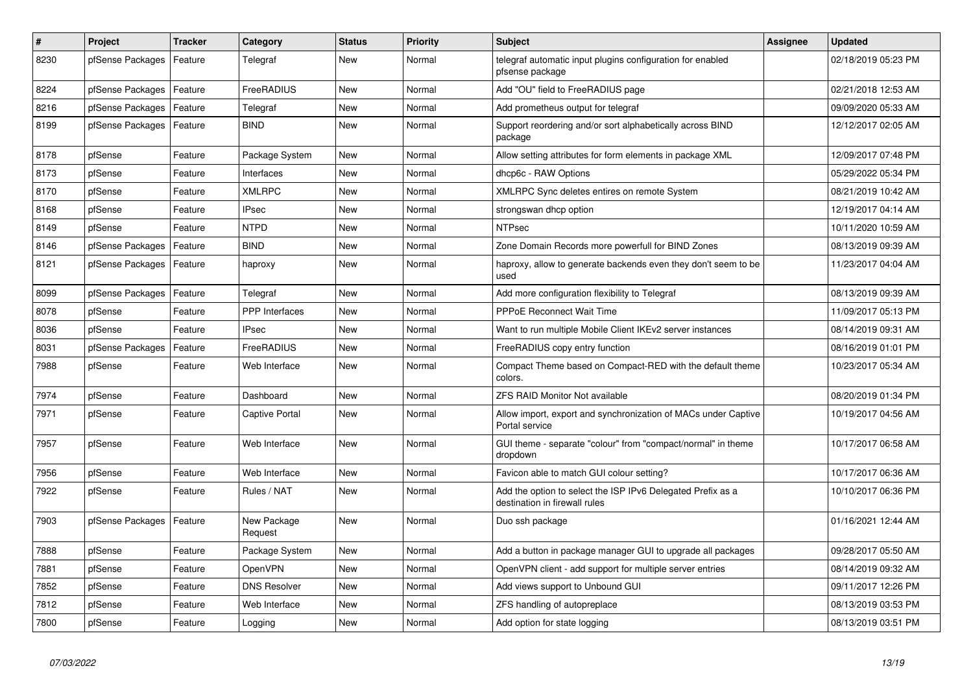| #    | Project          | <b>Tracker</b> | Category               | <b>Status</b> | Priority | <b>Subject</b>                                                                               | Assignee | <b>Updated</b>      |
|------|------------------|----------------|------------------------|---------------|----------|----------------------------------------------------------------------------------------------|----------|---------------------|
| 8230 | pfSense Packages | Feature        | Telegraf               | <b>New</b>    | Normal   | telegraf automatic input plugins configuration for enabled<br>pfsense package                |          | 02/18/2019 05:23 PM |
| 8224 | pfSense Packages | Feature        | FreeRADIUS             | New           | Normal   | Add "OU" field to FreeRADIUS page                                                            |          | 02/21/2018 12:53 AM |
| 8216 | pfSense Packages | Feature        | Telegraf               | <b>New</b>    | Normal   | Add prometheus output for telegraf                                                           |          | 09/09/2020 05:33 AM |
| 8199 | pfSense Packages | Feature        | <b>BIND</b>            | New           | Normal   | Support reordering and/or sort alphabetically across BIND<br>package                         |          | 12/12/2017 02:05 AM |
| 8178 | pfSense          | Feature        | Package System         | <b>New</b>    | Normal   | Allow setting attributes for form elements in package XML                                    |          | 12/09/2017 07:48 PM |
| 8173 | pfSense          | Feature        | Interfaces             | New           | Normal   | dhcp6c - RAW Options                                                                         |          | 05/29/2022 05:34 PM |
| 8170 | pfSense          | Feature        | <b>XMLRPC</b>          | <b>New</b>    | Normal   | XMLRPC Sync deletes entires on remote System                                                 |          | 08/21/2019 10:42 AM |
| 8168 | pfSense          | Feature        | <b>IPsec</b>           | New           | Normal   | strongswan dhcp option                                                                       |          | 12/19/2017 04:14 AM |
| 8149 | pfSense          | Feature        | <b>NTPD</b>            | New           | Normal   | <b>NTPsec</b>                                                                                |          | 10/11/2020 10:59 AM |
| 8146 | pfSense Packages | Feature        | <b>BIND</b>            | <b>New</b>    | Normal   | Zone Domain Records more powerfull for BIND Zones                                            |          | 08/13/2019 09:39 AM |
| 8121 | pfSense Packages | Feature        | haproxy                | New           | Normal   | haproxy, allow to generate backends even they don't seem to be<br>used                       |          | 11/23/2017 04:04 AM |
| 8099 | pfSense Packages | Feature        | Telegraf               | <b>New</b>    | Normal   | Add more configuration flexibility to Telegraf                                               |          | 08/13/2019 09:39 AM |
| 8078 | pfSense          | Feature        | <b>PPP</b> Interfaces  | <b>New</b>    | Normal   | <b>PPPoE Reconnect Wait Time</b>                                                             |          | 11/09/2017 05:13 PM |
| 8036 | pfSense          | Feature        | <b>IPsec</b>           | <b>New</b>    | Normal   | Want to run multiple Mobile Client IKEv2 server instances                                    |          | 08/14/2019 09:31 AM |
| 8031 | pfSense Packages | Feature        | FreeRADIUS             | New           | Normal   | FreeRADIUS copy entry function                                                               |          | 08/16/2019 01:01 PM |
| 7988 | pfSense          | Feature        | Web Interface          | New           | Normal   | Compact Theme based on Compact-RED with the default theme<br>colors.                         |          | 10/23/2017 05:34 AM |
| 7974 | pfSense          | Feature        | Dashboard              | <b>New</b>    | Normal   | <b>ZFS RAID Monitor Not available</b>                                                        |          | 08/20/2019 01:34 PM |
| 7971 | pfSense          | Feature        | Captive Portal         | New           | Normal   | Allow import, export and synchronization of MACs under Captive<br>Portal service             |          | 10/19/2017 04:56 AM |
| 7957 | pfSense          | Feature        | Web Interface          | <b>New</b>    | Normal   | GUI theme - separate "colour" from "compact/normal" in theme<br>dropdown                     |          | 10/17/2017 06:58 AM |
| 7956 | pfSense          | Feature        | Web Interface          | <b>New</b>    | Normal   | Favicon able to match GUI colour setting?                                                    |          | 10/17/2017 06:36 AM |
| 7922 | pfSense          | Feature        | Rules / NAT            | <b>New</b>    | Normal   | Add the option to select the ISP IPv6 Delegated Prefix as a<br>destination in firewall rules |          | 10/10/2017 06:36 PM |
| 7903 | pfSense Packages | Feature        | New Package<br>Request | <b>New</b>    | Normal   | Duo ssh package                                                                              |          | 01/16/2021 12:44 AM |
| 7888 | pfSense          | Feature        | Package System         | New           | Normal   | Add a button in package manager GUI to upgrade all packages                                  |          | 09/28/2017 05:50 AM |
| 7881 | pfSense          | Feature        | OpenVPN                | <b>New</b>    | Normal   | OpenVPN client - add support for multiple server entries                                     |          | 08/14/2019 09:32 AM |
| 7852 | pfSense          | Feature        | <b>DNS Resolver</b>    | <b>New</b>    | Normal   | Add views support to Unbound GUI                                                             |          | 09/11/2017 12:26 PM |
| 7812 | pfSense          | Feature        | Web Interface          | <b>New</b>    | Normal   | ZFS handling of autopreplace                                                                 |          | 08/13/2019 03:53 PM |
| 7800 | pfSense          | Feature        | Logging                | <b>New</b>    | Normal   | Add option for state logging                                                                 |          | 08/13/2019 03:51 PM |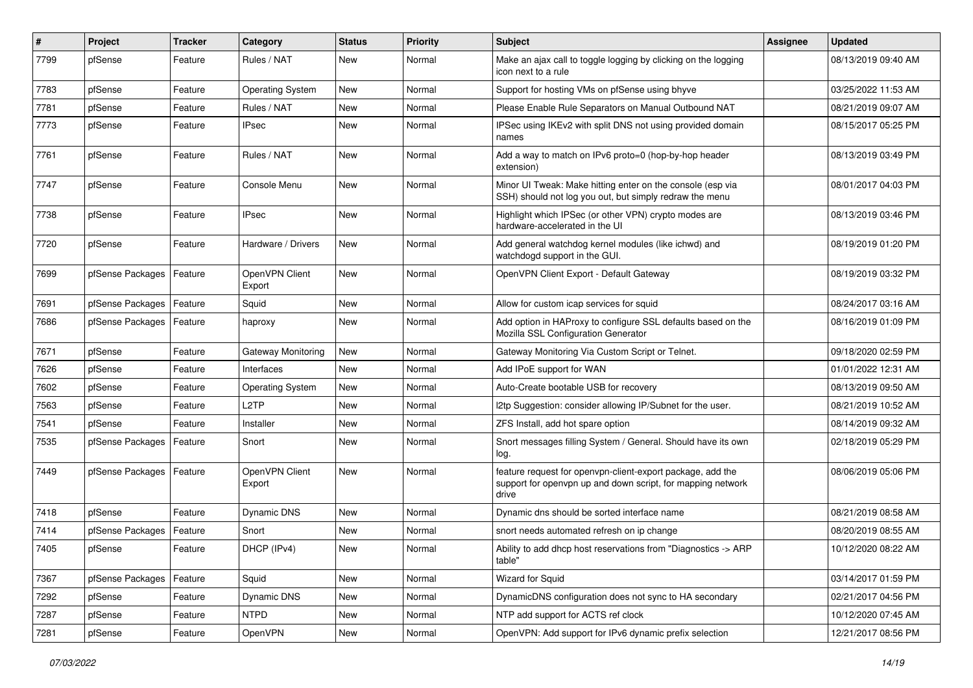| #    | Project          | <b>Tracker</b> | Category                 | <b>Status</b> | <b>Priority</b> | <b>Subject</b>                                                                                                                     | Assignee | <b>Updated</b>      |
|------|------------------|----------------|--------------------------|---------------|-----------------|------------------------------------------------------------------------------------------------------------------------------------|----------|---------------------|
| 7799 | pfSense          | Feature        | Rules / NAT              | New           | Normal          | Make an ajax call to toggle logging by clicking on the logging<br>icon next to a rule                                              |          | 08/13/2019 09:40 AM |
| 7783 | pfSense          | Feature        | <b>Operating System</b>  | New           | Normal          | Support for hosting VMs on pfSense using bhyve                                                                                     |          | 03/25/2022 11:53 AM |
| 7781 | pfSense          | Feature        | Rules / NAT              | New           | Normal          | Please Enable Rule Separators on Manual Outbound NAT                                                                               |          | 08/21/2019 09:07 AM |
| 7773 | pfSense          | Feature        | <b>IPsec</b>             | New           | Normal          | IPSec using IKEv2 with split DNS not using provided domain<br>names                                                                |          | 08/15/2017 05:25 PM |
| 7761 | pfSense          | Feature        | Rules / NAT              | New           | Normal          | Add a way to match on IPv6 proto=0 (hop-by-hop header<br>extension)                                                                |          | 08/13/2019 03:49 PM |
| 7747 | pfSense          | Feature        | Console Menu             | New           | Normal          | Minor UI Tweak: Make hitting enter on the console (esp via<br>SSH) should not log you out, but simply redraw the menu              |          | 08/01/2017 04:03 PM |
| 7738 | pfSense          | Feature        | <b>IPsec</b>             | New           | Normal          | Highlight which IPSec (or other VPN) crypto modes are<br>hardware-accelerated in the UI                                            |          | 08/13/2019 03:46 PM |
| 7720 | pfSense          | Feature        | Hardware / Drivers       | New           | Normal          | Add general watchdog kernel modules (like ichwd) and<br>watchdogd support in the GUI.                                              |          | 08/19/2019 01:20 PM |
| 7699 | pfSense Packages | Feature        | OpenVPN Client<br>Export | New           | Normal          | OpenVPN Client Export - Default Gateway                                                                                            |          | 08/19/2019 03:32 PM |
| 7691 | pfSense Packages | Feature        | Squid                    | New           | Normal          | Allow for custom icap services for squid                                                                                           |          | 08/24/2017 03:16 AM |
| 7686 | pfSense Packages | Feature        | haproxy                  | New           | Normal          | Add option in HAProxy to configure SSL defaults based on the<br>Mozilla SSL Configuration Generator                                |          | 08/16/2019 01:09 PM |
| 7671 | pfSense          | Feature        | Gateway Monitoring       | New           | Normal          | Gateway Monitoring Via Custom Script or Telnet.                                                                                    |          | 09/18/2020 02:59 PM |
| 7626 | pfSense          | Feature        | Interfaces               | New           | Normal          | Add IPoE support for WAN                                                                                                           |          | 01/01/2022 12:31 AM |
| 7602 | pfSense          | Feature        | <b>Operating System</b>  | New           | Normal          | Auto-Create bootable USB for recovery                                                                                              |          | 08/13/2019 09:50 AM |
| 7563 | pfSense          | Feature        | L <sub>2</sub> TP        | New           | Normal          | I2tp Suggestion: consider allowing IP/Subnet for the user.                                                                         |          | 08/21/2019 10:52 AM |
| 7541 | pfSense          | Feature        | Installer                | New           | Normal          | ZFS Install, add hot spare option                                                                                                  |          | 08/14/2019 09:32 AM |
| 7535 | pfSense Packages | Feature        | Snort                    | New           | Normal          | Snort messages filling System / General. Should have its own<br>log.                                                               |          | 02/18/2019 05:29 PM |
| 7449 | pfSense Packages | Feature        | OpenVPN Client<br>Export | New           | Normal          | feature request for openvpn-client-export package, add the<br>support for openypn up and down script, for mapping network<br>drive |          | 08/06/2019 05:06 PM |
| 7418 | pfSense          | Feature        | Dynamic DNS              | New           | Normal          | Dynamic dns should be sorted interface name                                                                                        |          | 08/21/2019 08:58 AM |
| 7414 | pfSense Packages | Feature        | Snort                    | New           | Normal          | snort needs automated refresh on ip change                                                                                         |          | 08/20/2019 08:55 AM |
| 7405 | pfSense          | Feature        | DHCP (IPv4)              | New           | Normal          | Ability to add dhcp host reservations from "Diagnostics -> ARP<br>table"                                                           |          | 10/12/2020 08:22 AM |
| 7367 | pfSense Packages | Feature        | Squid                    | New           | Normal          | Wizard for Squid                                                                                                                   |          | 03/14/2017 01:59 PM |
| 7292 | pfSense          | Feature        | Dynamic DNS              | New           | Normal          | DynamicDNS configuration does not sync to HA secondary                                                                             |          | 02/21/2017 04:56 PM |
| 7287 | pfSense          | Feature        | <b>NTPD</b>              | New           | Normal          | NTP add support for ACTS ref clock                                                                                                 |          | 10/12/2020 07:45 AM |
| 7281 | pfSense          | Feature        | OpenVPN                  | New           | Normal          | OpenVPN: Add support for IPv6 dynamic prefix selection                                                                             |          | 12/21/2017 08:56 PM |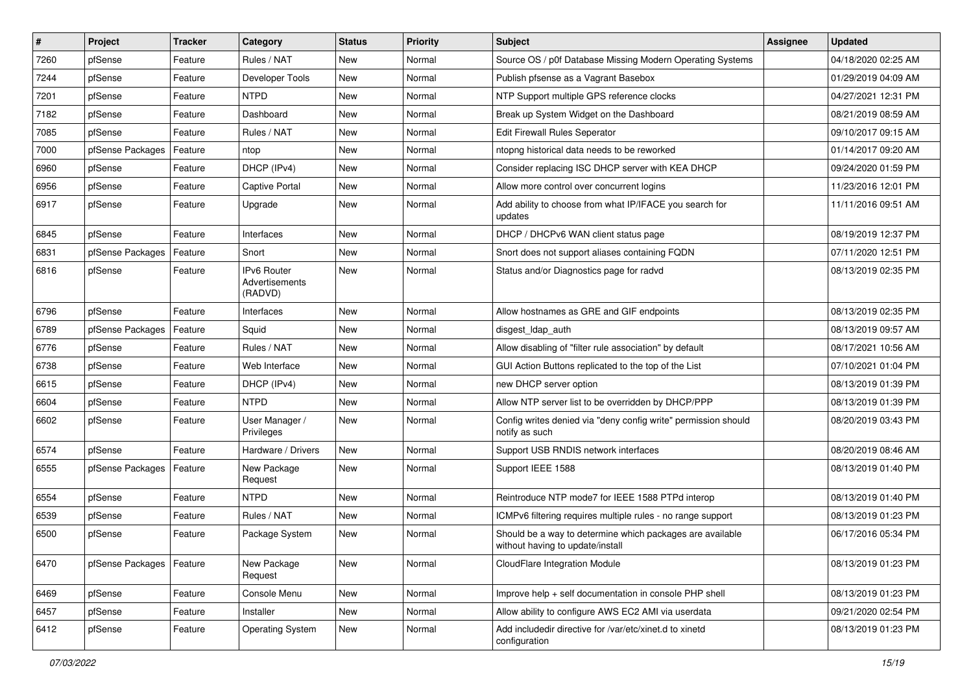| $\sharp$ | Project          | <b>Tracker</b> | Category                                               | <b>Status</b> | <b>Priority</b> | <b>Subject</b>                                                                                | Assignee | <b>Updated</b>      |
|----------|------------------|----------------|--------------------------------------------------------|---------------|-----------------|-----------------------------------------------------------------------------------------------|----------|---------------------|
| 7260     | pfSense          | Feature        | Rules / NAT                                            | New           | Normal          | Source OS / p0f Database Missing Modern Operating Systems                                     |          | 04/18/2020 02:25 AM |
| 7244     | pfSense          | Feature        | Developer Tools                                        | New           | Normal          | Publish pfsense as a Vagrant Basebox                                                          |          | 01/29/2019 04:09 AM |
| 7201     | pfSense          | Feature        | <b>NTPD</b>                                            | New           | Normal          | NTP Support multiple GPS reference clocks                                                     |          | 04/27/2021 12:31 PM |
| 7182     | pfSense          | Feature        | Dashboard                                              | <b>New</b>    | Normal          | Break up System Widget on the Dashboard                                                       |          | 08/21/2019 08:59 AM |
| 7085     | pfSense          | Feature        | Rules / NAT                                            | New           | Normal          | Edit Firewall Rules Seperator                                                                 |          | 09/10/2017 09:15 AM |
| 7000     | pfSense Packages | Feature        | ntop                                                   | New           | Normal          | ntopng historical data needs to be reworked                                                   |          | 01/14/2017 09:20 AM |
| 6960     | pfSense          | Feature        | DHCP (IPv4)                                            | <b>New</b>    | Normal          | Consider replacing ISC DHCP server with KEA DHCP                                              |          | 09/24/2020 01:59 PM |
| 6956     | pfSense          | Feature        | <b>Captive Portal</b>                                  | New           | Normal          | Allow more control over concurrent logins                                                     |          | 11/23/2016 12:01 PM |
| 6917     | pfSense          | Feature        | Upgrade                                                | New           | Normal          | Add ability to choose from what IP/IFACE you search for<br>updates                            |          | 11/11/2016 09:51 AM |
| 6845     | pfSense          | Feature        | Interfaces                                             | New           | Normal          | DHCP / DHCPv6 WAN client status page                                                          |          | 08/19/2019 12:37 PM |
| 6831     | pfSense Packages | Feature        | Snort                                                  | <b>New</b>    | Normal          | Snort does not support aliases containing FQDN                                                |          | 07/11/2020 12:51 PM |
| 6816     | pfSense          | Feature        | <b>IPv6 Router</b><br><b>Advertisements</b><br>(RADVD) | <b>New</b>    | Normal          | Status and/or Diagnostics page for radvd                                                      |          | 08/13/2019 02:35 PM |
| 6796     | pfSense          | Feature        | Interfaces                                             | New           | Normal          | Allow hostnames as GRE and GIF endpoints                                                      |          | 08/13/2019 02:35 PM |
| 6789     | pfSense Packages | Feature        | Squid                                                  | New           | Normal          | disgest Idap auth                                                                             |          | 08/13/2019 09:57 AM |
| 6776     | pfSense          | Feature        | Rules / NAT                                            | <b>New</b>    | Normal          | Allow disabling of "filter rule association" by default                                       |          | 08/17/2021 10:56 AM |
| 6738     | pfSense          | Feature        | Web Interface                                          | New           | Normal          | GUI Action Buttons replicated to the top of the List                                          |          | 07/10/2021 01:04 PM |
| 6615     | pfSense          | Feature        | DHCP (IPv4)                                            | New           | Normal          | new DHCP server option                                                                        |          | 08/13/2019 01:39 PM |
| 6604     | pfSense          | Feature        | <b>NTPD</b>                                            | New           | Normal          | Allow NTP server list to be overridden by DHCP/PPP                                            |          | 08/13/2019 01:39 PM |
| 6602     | pfSense          | Feature        | User Manager /<br>Privileges                           | <b>New</b>    | Normal          | Config writes denied via "deny config write" permission should<br>notify as such              |          | 08/20/2019 03:43 PM |
| 6574     | pfSense          | Feature        | Hardware / Drivers                                     | <b>New</b>    | Normal          | Support USB RNDIS network interfaces                                                          |          | 08/20/2019 08:46 AM |
| 6555     | pfSense Packages | Feature        | New Package<br>Request                                 | New           | Normal          | Support IEEE 1588                                                                             |          | 08/13/2019 01:40 PM |
| 6554     | pfSense          | Feature        | <b>NTPD</b>                                            | New           | Normal          | Reintroduce NTP mode7 for IEEE 1588 PTPd interop                                              |          | 08/13/2019 01:40 PM |
| 6539     | pfSense          | Feature        | Rules / NAT                                            | <b>New</b>    | Normal          | ICMPv6 filtering requires multiple rules - no range support                                   |          | 08/13/2019 01:23 PM |
| 6500     | pfSense          | Feature        | Package System                                         | New           | Normal          | Should be a way to determine which packages are available<br>without having to update/install |          | 06/17/2016 05:34 PM |
| 6470     | pfSense Packages | Feature        | New Package<br>Request                                 | New           | Normal          | CloudFlare Integration Module                                                                 |          | 08/13/2019 01:23 PM |
| 6469     | pfSense          | Feature        | Console Menu                                           | New           | Normal          | Improve help + self documentation in console PHP shell                                        |          | 08/13/2019 01:23 PM |
| 6457     | pfSense          | Feature        | Installer                                              | New           | Normal          | Allow ability to configure AWS EC2 AMI via userdata                                           |          | 09/21/2020 02:54 PM |
| 6412     | pfSense          | Feature        | <b>Operating System</b>                                | New           | Normal          | Add includedir directive for /var/etc/xinet.d to xinetd<br>configuration                      |          | 08/13/2019 01:23 PM |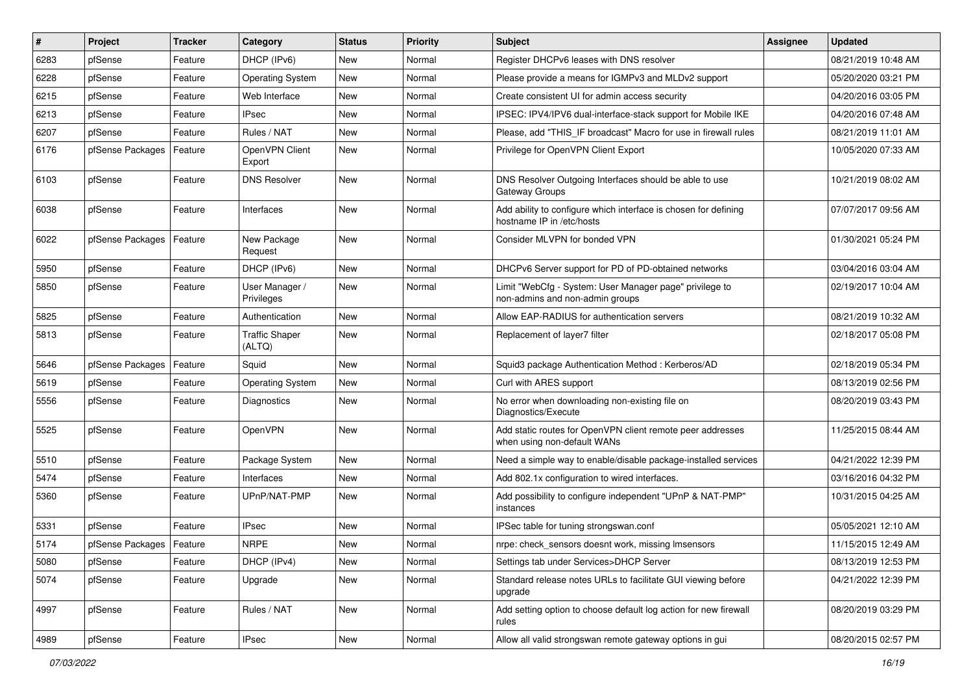| $\sharp$ | Project                    | <b>Tracker</b> | Category                        | <b>Status</b> | <b>Priority</b> | Subject                                                                                      | <b>Assignee</b> | <b>Updated</b>      |
|----------|----------------------------|----------------|---------------------------------|---------------|-----------------|----------------------------------------------------------------------------------------------|-----------------|---------------------|
| 6283     | pfSense                    | Feature        | DHCP (IPv6)                     | New           | Normal          | Register DHCPv6 leases with DNS resolver                                                     |                 | 08/21/2019 10:48 AM |
| 6228     | pfSense                    | Feature        | <b>Operating System</b>         | <b>New</b>    | Normal          | Please provide a means for IGMPv3 and MLDv2 support                                          |                 | 05/20/2020 03:21 PM |
| 6215     | pfSense                    | Feature        | Web Interface                   | New           | Normal          | Create consistent UI for admin access security                                               |                 | 04/20/2016 03:05 PM |
| 6213     | pfSense                    | Feature        | IPsec                           | <b>New</b>    | Normal          | IPSEC: IPV4/IPV6 dual-interface-stack support for Mobile IKE                                 |                 | 04/20/2016 07:48 AM |
| 6207     | pfSense                    | Feature        | Rules / NAT                     | <b>New</b>    | Normal          | Please, add "THIS_IF broadcast" Macro for use in firewall rules                              |                 | 08/21/2019 11:01 AM |
| 6176     | pfSense Packages           | Feature        | OpenVPN Client<br>Export        | <b>New</b>    | Normal          | Privilege for OpenVPN Client Export                                                          |                 | 10/05/2020 07:33 AM |
| 6103     | pfSense                    | Feature        | <b>DNS Resolver</b>             | New           | Normal          | DNS Resolver Outgoing Interfaces should be able to use<br>Gateway Groups                     |                 | 10/21/2019 08:02 AM |
| 6038     | pfSense                    | Feature        | Interfaces                      | <b>New</b>    | Normal          | Add ability to configure which interface is chosen for defining<br>hostname IP in /etc/hosts |                 | 07/07/2017 09:56 AM |
| 6022     | pfSense Packages           | Feature        | New Package<br>Request          | <b>New</b>    | Normal          | Consider MLVPN for bonded VPN                                                                |                 | 01/30/2021 05:24 PM |
| 5950     | pfSense                    | Feature        | DHCP (IPv6)                     | New           | Normal          | DHCPv6 Server support for PD of PD-obtained networks                                         |                 | 03/04/2016 03:04 AM |
| 5850     | pfSense                    | Feature        | User Manager /<br>Privileges    | <b>New</b>    | Normal          | Limit "WebCfg - System: User Manager page" privilege to<br>non-admins and non-admin groups   |                 | 02/19/2017 10:04 AM |
| 5825     | pfSense                    | Feature        | Authentication                  | <b>New</b>    | Normal          | Allow EAP-RADIUS for authentication servers                                                  |                 | 08/21/2019 10:32 AM |
| 5813     | pfSense                    | Feature        | <b>Traffic Shaper</b><br>(ALTQ) | New           | Normal          | Replacement of layer7 filter                                                                 |                 | 02/18/2017 05:08 PM |
| 5646     | pfSense Packages           | Feature        | Squid                           | New           | Normal          | Squid3 package Authentication Method: Kerberos/AD                                            |                 | 02/18/2019 05:34 PM |
| 5619     | pfSense                    | Feature        | <b>Operating System</b>         | <b>New</b>    | Normal          | Curl with ARES support                                                                       |                 | 08/13/2019 02:56 PM |
| 5556     | pfSense                    | Feature        | Diagnostics                     | New           | Normal          | No error when downloading non-existing file on<br>Diagnostics/Execute                        |                 | 08/20/2019 03:43 PM |
| 5525     | pfSense                    | Feature        | OpenVPN                         | New           | Normal          | Add static routes for OpenVPN client remote peer addresses<br>when using non-default WANs    |                 | 11/25/2015 08:44 AM |
| 5510     | pfSense                    | Feature        | Package System                  | <b>New</b>    | Normal          | Need a simple way to enable/disable package-installed services                               |                 | 04/21/2022 12:39 PM |
| 5474     | pfSense                    | Feature        | Interfaces                      | New           | Normal          | Add 802.1x configuration to wired interfaces.                                                |                 | 03/16/2016 04:32 PM |
| 5360     | pfSense                    | Feature        | UPnP/NAT-PMP                    | New           | Normal          | Add possibility to configure independent "UPnP & NAT-PMP"<br>instances                       |                 | 10/31/2015 04:25 AM |
| 5331     | pfSense                    | Feature        | <b>IPsec</b>                    | New           | Normal          | IPSec table for tuning strongswan.conf                                                       |                 | 05/05/2021 12:10 AM |
| 5174     | pfSense Packages   Feature |                | <b>NRPE</b>                     | <b>New</b>    | Normal          | nrpe: check sensors doesnt work, missing Imsensors                                           |                 | 11/15/2015 12:49 AM |
| 5080     | pfSense                    | Feature        | DHCP (IPv4)                     | New           | Normal          | Settings tab under Services>DHCP Server                                                      |                 | 08/13/2019 12:53 PM |
| 5074     | pfSense                    | Feature        | Upgrade                         | New           | Normal          | Standard release notes URLs to facilitate GUI viewing before<br>upgrade                      |                 | 04/21/2022 12:39 PM |
| 4997     | pfSense                    | Feature        | Rules / NAT                     | New           | Normal          | Add setting option to choose default log action for new firewall<br>rules                    |                 | 08/20/2019 03:29 PM |
| 4989     | pfSense                    | Feature        | <b>IPsec</b>                    | New           | Normal          | Allow all valid strongswan remote gateway options in gui                                     |                 | 08/20/2015 02:57 PM |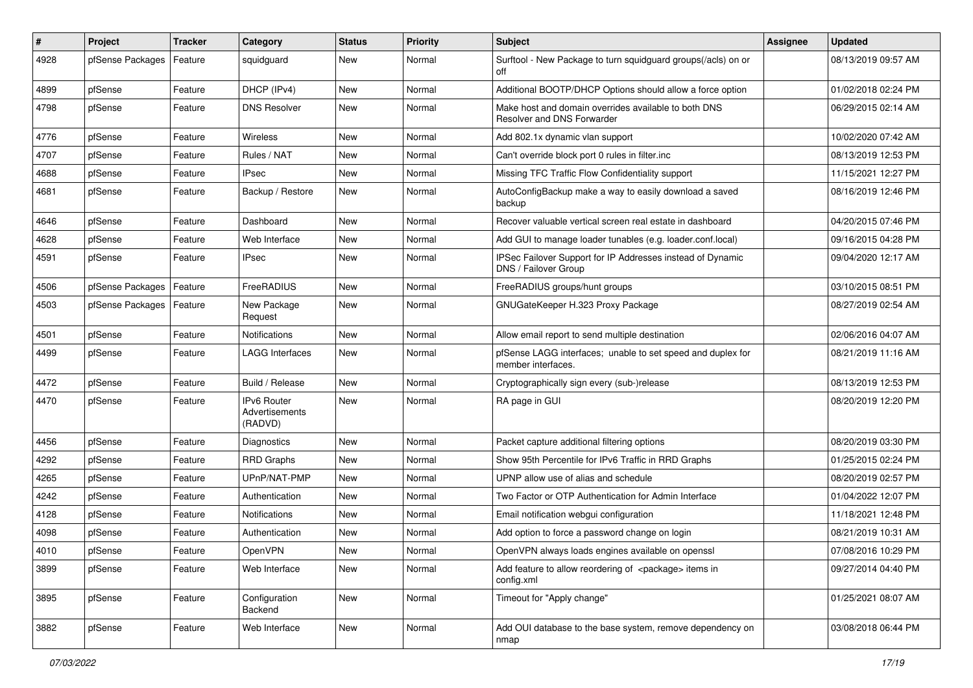| #    | <b>Project</b>   | <b>Tracker</b> | Category                                 | <b>Status</b> | <b>Priority</b> | <b>Subject</b>                                                                     | <b>Assignee</b> | <b>Updated</b>      |
|------|------------------|----------------|------------------------------------------|---------------|-----------------|------------------------------------------------------------------------------------|-----------------|---------------------|
| 4928 | pfSense Packages | Feature        | squidguard                               | New           | Normal          | Surftool - New Package to turn squidguard groups(/acls) on or<br>off               |                 | 08/13/2019 09:57 AM |
| 4899 | pfSense          | Feature        | DHCP (IPv4)                              | New           | Normal          | Additional BOOTP/DHCP Options should allow a force option                          |                 | 01/02/2018 02:24 PM |
| 4798 | pfSense          | Feature        | <b>DNS Resolver</b>                      | New           | Normal          | Make host and domain overrides available to both DNS<br>Resolver and DNS Forwarder |                 | 06/29/2015 02:14 AM |
| 4776 | pfSense          | Feature        | Wireless                                 | New           | Normal          | Add 802.1x dynamic vlan support                                                    |                 | 10/02/2020 07:42 AM |
| 4707 | pfSense          | Feature        | Rules / NAT                              | New           | Normal          | Can't override block port 0 rules in filter.inc                                    |                 | 08/13/2019 12:53 PM |
| 4688 | pfSense          | Feature        | <b>IPsec</b>                             | New           | Normal          | Missing TFC Traffic Flow Confidentiality support                                   |                 | 11/15/2021 12:27 PM |
| 4681 | pfSense          | Feature        | Backup / Restore                         | New           | Normal          | AutoConfigBackup make a way to easily download a saved<br>backup                   |                 | 08/16/2019 12:46 PM |
| 4646 | pfSense          | Feature        | Dashboard                                | New           | Normal          | Recover valuable vertical screen real estate in dashboard                          |                 | 04/20/2015 07:46 PM |
| 4628 | pfSense          | Feature        | Web Interface                            | New           | Normal          | Add GUI to manage loader tunables (e.g. loader.conf.local)                         |                 | 09/16/2015 04:28 PM |
| 4591 | pfSense          | Feature        | <b>IPsec</b>                             | New           | Normal          | IPSec Failover Support for IP Addresses instead of Dynamic<br>DNS / Failover Group |                 | 09/04/2020 12:17 AM |
| 4506 | pfSense Packages | Feature        | FreeRADIUS                               | New           | Normal          | FreeRADIUS groups/hunt groups                                                      |                 | 03/10/2015 08:51 PM |
| 4503 | pfSense Packages | Feature        | New Package<br>Request                   | New           | Normal          | GNUGateKeeper H.323 Proxy Package                                                  |                 | 08/27/2019 02:54 AM |
| 4501 | pfSense          | Feature        | Notifications                            | New           | Normal          | Allow email report to send multiple destination                                    |                 | 02/06/2016 04:07 AM |
| 4499 | pfSense          | Feature        | <b>LAGG Interfaces</b>                   | New           | Normal          | pfSense LAGG interfaces; unable to set speed and duplex for<br>member interfaces.  |                 | 08/21/2019 11:16 AM |
| 4472 | pfSense          | Feature        | Build / Release                          | New           | Normal          | Cryptographically sign every (sub-)release                                         |                 | 08/13/2019 12:53 PM |
| 4470 | pfSense          | Feature        | IPv6 Router<br>Advertisements<br>(RADVD) | New           | Normal          | RA page in GUI                                                                     |                 | 08/20/2019 12:20 PM |
| 4456 | pfSense          | Feature        | Diagnostics                              | New           | Normal          | Packet capture additional filtering options                                        |                 | 08/20/2019 03:30 PM |
| 4292 | pfSense          | Feature        | <b>RRD Graphs</b>                        | New           | Normal          | Show 95th Percentile for IPv6 Traffic in RRD Graphs                                |                 | 01/25/2015 02:24 PM |
| 4265 | pfSense          | Feature        | UPnP/NAT-PMP                             | New           | Normal          | UPNP allow use of alias and schedule                                               |                 | 08/20/2019 02:57 PM |
| 4242 | pfSense          | Feature        | Authentication                           | New           | Normal          | Two Factor or OTP Authentication for Admin Interface                               |                 | 01/04/2022 12:07 PM |
| 4128 | pfSense          | Feature        | Notifications                            | New           | Normal          | Email notification webgui configuration                                            |                 | 11/18/2021 12:48 PM |
| 4098 | pfSense          | Feature        | Authentication                           | New           | Normal          | Add option to force a password change on login                                     |                 | 08/21/2019 10:31 AM |
| 4010 | pfSense          | Feature        | OpenVPN                                  | New           | Normal          | OpenVPN always loads engines available on openssl                                  |                 | 07/08/2016 10:29 PM |
| 3899 | pfSense          | Feature        | Web Interface                            | New           | Normal          | Add feature to allow reordering of <package> items in<br/>config.xml</package>     |                 | 09/27/2014 04:40 PM |
| 3895 | pfSense          | Feature        | Configuration<br>Backend                 | New           | Normal          | Timeout for "Apply change"                                                         |                 | 01/25/2021 08:07 AM |
| 3882 | pfSense          | Feature        | Web Interface                            | New           | Normal          | Add OUI database to the base system, remove dependency on<br>nmap                  |                 | 03/08/2018 06:44 PM |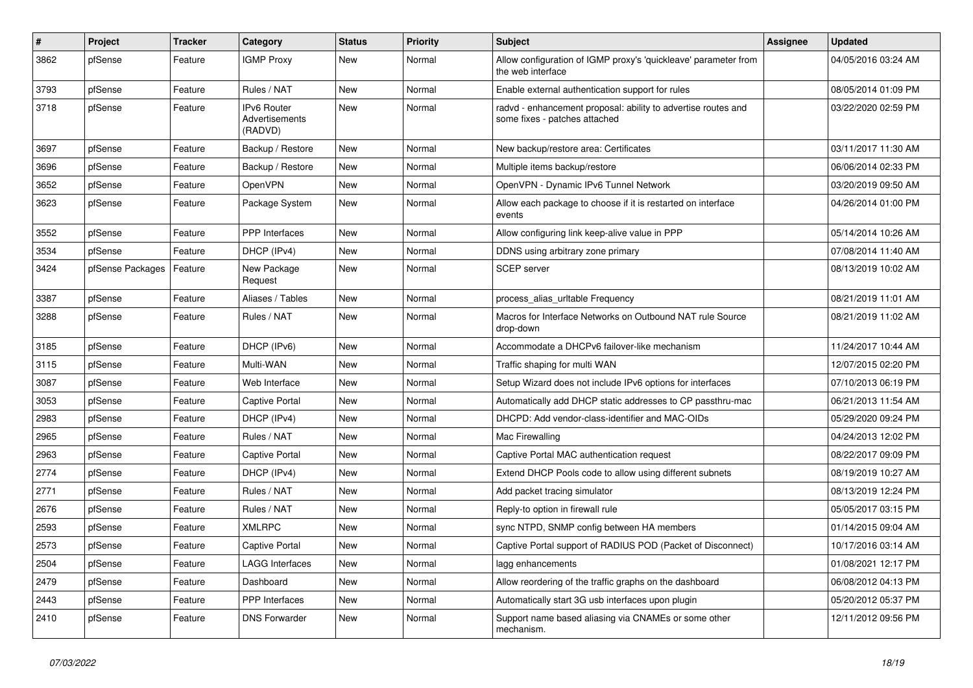| $\#$ | Project          | <b>Tracker</b> | Category                                        | <b>Status</b> | <b>Priority</b> | <b>Subject</b>                                                                                 | <b>Assignee</b> | <b>Updated</b>      |
|------|------------------|----------------|-------------------------------------------------|---------------|-----------------|------------------------------------------------------------------------------------------------|-----------------|---------------------|
| 3862 | pfSense          | Feature        | <b>IGMP Proxy</b>                               | <b>New</b>    | Normal          | Allow configuration of IGMP proxy's 'quickleave' parameter from<br>the web interface           |                 | 04/05/2016 03:24 AM |
| 3793 | pfSense          | Feature        | Rules / NAT                                     | <b>New</b>    | Normal          | Enable external authentication support for rules                                               |                 | 08/05/2014 01:09 PM |
| 3718 | pfSense          | Feature        | <b>IPv6 Router</b><br>Advertisements<br>(RADVD) | <b>New</b>    | Normal          | radvd - enhancement proposal: ability to advertise routes and<br>some fixes - patches attached |                 | 03/22/2020 02:59 PM |
| 3697 | pfSense          | Feature        | Backup / Restore                                | New           | Normal          | New backup/restore area: Certificates                                                          |                 | 03/11/2017 11:30 AM |
| 3696 | pfSense          | Feature        | Backup / Restore                                | <b>New</b>    | Normal          | Multiple items backup/restore                                                                  |                 | 06/06/2014 02:33 PM |
| 3652 | pfSense          | Feature        | <b>OpenVPN</b>                                  | <b>New</b>    | Normal          | OpenVPN - Dynamic IPv6 Tunnel Network                                                          |                 | 03/20/2019 09:50 AM |
| 3623 | pfSense          | Feature        | Package System                                  | New           | Normal          | Allow each package to choose if it is restarted on interface<br>events                         |                 | 04/26/2014 01:00 PM |
| 3552 | pfSense          | Feature        | <b>PPP</b> Interfaces                           | <b>New</b>    | Normal          | Allow configuring link keep-alive value in PPP                                                 |                 | 05/14/2014 10:26 AM |
| 3534 | pfSense          | Feature        | DHCP (IPv4)                                     | New           | Normal          | DDNS using arbitrary zone primary                                                              |                 | 07/08/2014 11:40 AM |
| 3424 | pfSense Packages | Feature        | New Package<br>Request                          | <b>New</b>    | Normal          | <b>SCEP</b> server                                                                             |                 | 08/13/2019 10:02 AM |
| 3387 | pfSense          | Feature        | Aliases / Tables                                | <b>New</b>    | Normal          | process_alias_urItable Frequency                                                               |                 | 08/21/2019 11:01 AM |
| 3288 | pfSense          | Feature        | Rules / NAT                                     | <b>New</b>    | Normal          | Macros for Interface Networks on Outbound NAT rule Source<br>drop-down                         |                 | 08/21/2019 11:02 AM |
| 3185 | pfSense          | Feature        | DHCP (IPv6)                                     | <b>New</b>    | Normal          | Accommodate a DHCPv6 failover-like mechanism                                                   |                 | 11/24/2017 10:44 AM |
| 3115 | pfSense          | Feature        | Multi-WAN                                       | New           | Normal          | Traffic shaping for multi WAN                                                                  |                 | 12/07/2015 02:20 PM |
| 3087 | pfSense          | Feature        | Web Interface                                   | <b>New</b>    | Normal          | Setup Wizard does not include IPv6 options for interfaces                                      |                 | 07/10/2013 06:19 PM |
| 3053 | pfSense          | Feature        | <b>Captive Portal</b>                           | <b>New</b>    | Normal          | Automatically add DHCP static addresses to CP passthru-mac                                     |                 | 06/21/2013 11:54 AM |
| 2983 | pfSense          | Feature        | DHCP (IPv4)                                     | <b>New</b>    | Normal          | DHCPD: Add vendor-class-identifier and MAC-OIDs                                                |                 | 05/29/2020 09:24 PM |
| 2965 | pfSense          | Feature        | Rules / NAT                                     | <b>New</b>    | Normal          | Mac Firewalling                                                                                |                 | 04/24/2013 12:02 PM |
| 2963 | pfSense          | Feature        | Captive Portal                                  | <b>New</b>    | Normal          | Captive Portal MAC authentication request                                                      |                 | 08/22/2017 09:09 PM |
| 2774 | pfSense          | Feature        | DHCP (IPv4)                                     | <b>New</b>    | Normal          | Extend DHCP Pools code to allow using different subnets                                        |                 | 08/19/2019 10:27 AM |
| 2771 | pfSense          | Feature        | Rules / NAT                                     | <b>New</b>    | Normal          | Add packet tracing simulator                                                                   |                 | 08/13/2019 12:24 PM |
| 2676 | pfSense          | Feature        | Rules / NAT                                     | <b>New</b>    | Normal          | Reply-to option in firewall rule                                                               |                 | 05/05/2017 03:15 PM |
| 2593 | pfSense          | Feature        | <b>XMLRPC</b>                                   | <b>New</b>    | Normal          | sync NTPD, SNMP config between HA members                                                      |                 | 01/14/2015 09:04 AM |
| 2573 | pfSense          | Feature        | Captive Portal                                  | <b>New</b>    | Normal          | Captive Portal support of RADIUS POD (Packet of Disconnect)                                    |                 | 10/17/2016 03:14 AM |
| 2504 | pfSense          | Feature        | LAGG Interfaces                                 | <b>New</b>    | Normal          | lagg enhancements                                                                              |                 | 01/08/2021 12:17 PM |
| 2479 | pfSense          | Feature        | Dashboard                                       | New           | Normal          | Allow reordering of the traffic graphs on the dashboard                                        |                 | 06/08/2012 04:13 PM |
| 2443 | pfSense          | Feature        | <b>PPP</b> Interfaces                           | <b>New</b>    | Normal          | Automatically start 3G usb interfaces upon plugin                                              |                 | 05/20/2012 05:37 PM |
| 2410 | pfSense          | Feature        | <b>DNS Forwarder</b>                            | <b>New</b>    | Normal          | Support name based aliasing via CNAMEs or some other<br>mechanism.                             |                 | 12/11/2012 09:56 PM |